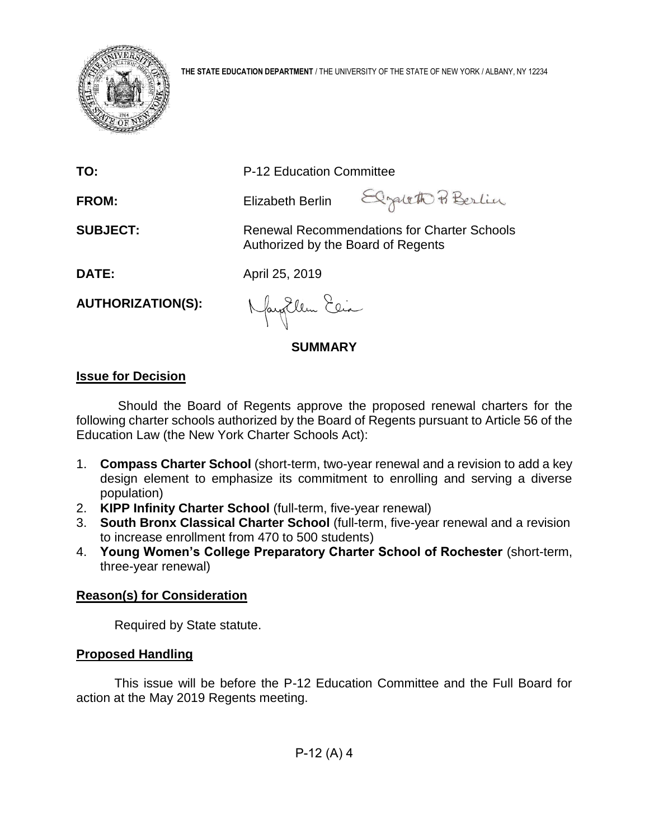

| <b>FROM:</b>             | Elizabeth Berlin                   | Elzareth P. Berlin                                 |
|--------------------------|------------------------------------|----------------------------------------------------|
| <b>SUBJECT:</b>          | Authorized by the Board of Regents | <b>Renewal Recommendations for Charter Schools</b> |
| <b>DATE:</b>             | April 25, 2019                     |                                                    |
| <b>AUTHORIZATION(S):</b> | Nayollem Elia                      |                                                    |
|                          | SUMMARY                            |                                                    |

**TO:** P-12 Education Committee

# **Issue for Decision**

Should the Board of Regents approve the proposed renewal charters for the following charter schools authorized by the Board of Regents pursuant to Article 56 of the Education Law (the New York Charter Schools Act):

- 1. **Compass Charter School** (short-term, two-year renewal and a revision to add a key design element to emphasize its commitment to enrolling and serving a diverse population)
- 2. **KIPP Infinity Charter School** (full-term, five-year renewal)
- 3. **South Bronx Classical Charter School** (full-term, five-year renewal and a revision to increase enrollment from 470 to 500 students)
- 4. **Young Women's College Preparatory Charter School of Rochester** (short-term, three-year renewal)

# **Reason(s) for Consideration**

Required by State statute.

# **Proposed Handling**

This issue will be before the P-12 Education Committee and the Full Board for action at the May 2019 Regents meeting.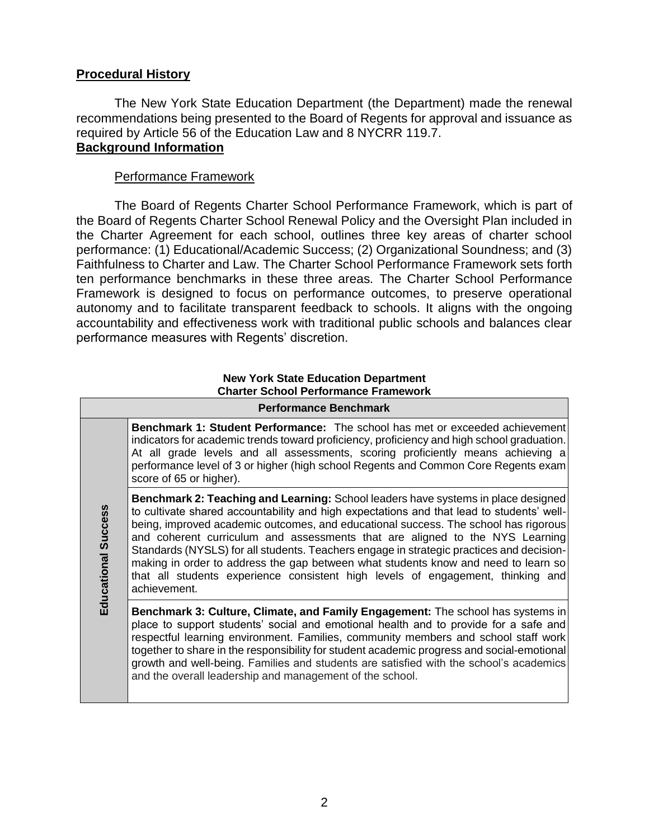# **Procedural History**

The New York State Education Department (the Department) made the renewal recommendations being presented to the Board of Regents for approval and issuance as required by Article 56 of the Education Law and 8 NYCRR 119.7. **Background Information**

# Performance Framework

The Board of Regents Charter School Performance Framework, which is part of the Board of Regents Charter School Renewal Policy and the Oversight Plan included in the Charter Agreement for each school, outlines three key areas of charter school performance: (1) Educational/Academic Success; (2) Organizational Soundness; and (3) Faithfulness to Charter and Law. The Charter School Performance Framework sets forth ten performance benchmarks in these three areas*.* The Charter School Performance Framework is designed to focus on performance outcomes, to preserve operational autonomy and to facilitate transparent feedback to schools. It aligns with the ongoing accountability and effectiveness work with traditional public schools and balances clear performance measures with Regents' discretion.

## **New York State Education Department Charter School Performance Framework**

|                            | <b>Performance Benchmark</b>                                                                                                                                                                                                                                                                                                                                                                                                                                                                                                                                                                                                                      |
|----------------------------|---------------------------------------------------------------------------------------------------------------------------------------------------------------------------------------------------------------------------------------------------------------------------------------------------------------------------------------------------------------------------------------------------------------------------------------------------------------------------------------------------------------------------------------------------------------------------------------------------------------------------------------------------|
|                            | <b>Benchmark 1: Student Performance:</b> The school has met or exceeded achievement<br>indicators for academic trends toward proficiency, proficiency and high school graduation.<br>At all grade levels and all assessments, scoring proficiently means achieving a<br>performance level of 3 or higher (high school Regents and Common Core Regents exam<br>score of 65 or higher).                                                                                                                                                                                                                                                             |
| <b>Educational Success</b> | <b>Benchmark 2: Teaching and Learning:</b> School leaders have systems in place designed<br>to cultivate shared accountability and high expectations and that lead to students' well-<br>being, improved academic outcomes, and educational success. The school has rigorous<br>and coherent curriculum and assessments that are aligned to the NYS Learning<br>Standards (NYSLS) for all students. Teachers engage in strategic practices and decision-<br>making in order to address the gap between what students know and need to learn so<br>that all students experience consistent high levels of engagement, thinking and<br>achievement. |
|                            | Benchmark 3: Culture, Climate, and Family Engagement: The school has systems in<br>place to support students' social and emotional health and to provide for a safe and<br>respectful learning environment. Families, community members and school staff work<br>together to share in the responsibility for student academic progress and social-emotional<br>growth and well-being. Families and students are satisfied with the school's academics<br>and the overall leadership and management of the school.                                                                                                                                 |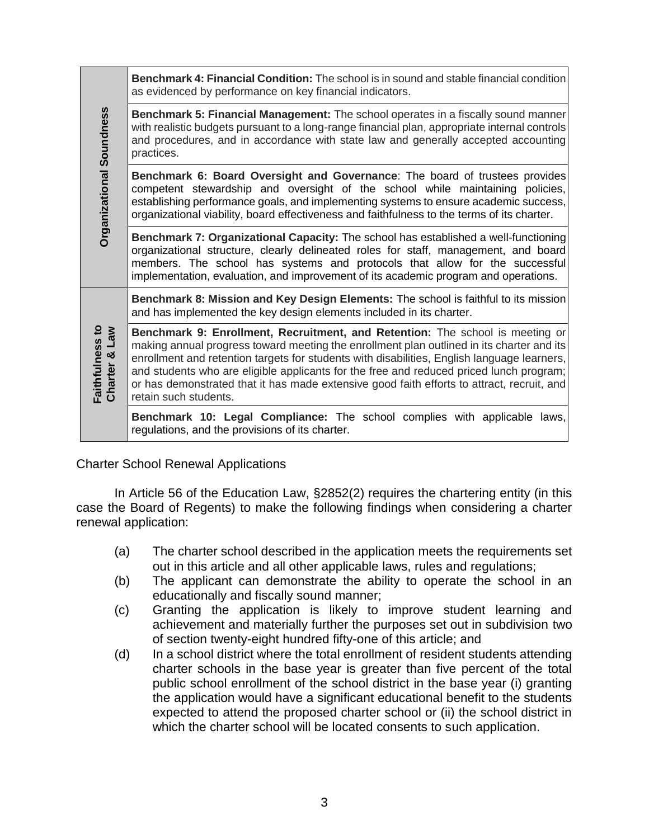|                                               | <b>Benchmark 4: Financial Condition:</b> The school is in sound and stable financial condition<br>as evidenced by performance on key financial indicators.                                                                                                                                                                                                                                                                                                                                  |
|-----------------------------------------------|---------------------------------------------------------------------------------------------------------------------------------------------------------------------------------------------------------------------------------------------------------------------------------------------------------------------------------------------------------------------------------------------------------------------------------------------------------------------------------------------|
|                                               | Benchmark 5: Financial Management: The school operates in a fiscally sound manner<br>with realistic budgets pursuant to a long-range financial plan, appropriate internal controls<br>and procedures, and in accordance with state law and generally accepted accounting<br>practices.                                                                                                                                                                                                      |
| <b>Organizational Soundness</b>               | Benchmark 6: Board Oversight and Governance: The board of trustees provides<br>competent stewardship and oversight of the school while maintaining<br>policies,<br>establishing performance goals, and implementing systems to ensure academic success,<br>organizational viability, board effectiveness and faithfulness to the terms of its charter.                                                                                                                                      |
|                                               | Benchmark 7: Organizational Capacity: The school has established a well-functioning<br>organizational structure, clearly delineated roles for staff, management, and board<br>members. The school has systems and protocols that allow for the successful<br>implementation, evaluation, and improvement of its academic program and operations.                                                                                                                                            |
|                                               | Benchmark 8: Mission and Key Design Elements: The school is faithful to its mission<br>and has implemented the key design elements included in its charter.                                                                                                                                                                                                                                                                                                                                 |
| Faithfulness to<br><b>Law</b><br>×<br>Charter | Benchmark 9: Enrollment, Recruitment, and Retention: The school is meeting or<br>making annual progress toward meeting the enrollment plan outlined in its charter and its<br>enrollment and retention targets for students with disabilities, English language learners,<br>and students who are eligible applicants for the free and reduced priced lunch program;<br>or has demonstrated that it has made extensive good faith efforts to attract, recruit, and<br>retain such students. |
|                                               | Benchmark 10: Legal Compliance: The school complies with applicable laws,<br>regulations, and the provisions of its charter.                                                                                                                                                                                                                                                                                                                                                                |

# Charter School Renewal Applications

In Article 56 of the Education Law, §2852(2) requires the chartering entity (in this case the Board of Regents) to make the following findings when considering a charter renewal application:

- (a) The charter school described in the application meets the requirements set out in this article and all other applicable laws, rules and regulations;
- (b) The applicant can demonstrate the ability to operate the school in an educationally and fiscally sound manner;
- (c) Granting the application is likely to improve student learning and achievement and materially further the purposes set out in subdivision two of section twenty-eight hundred fifty-one of this article; and
- (d) In a school district where the total enrollment of resident students attending charter schools in the base year is greater than five percent of the total public school enrollment of the school district in the base year (i) granting the application would have a significant educational benefit to the students expected to attend the proposed charter school or (ii) the school district in which the charter school will be located consents to such application.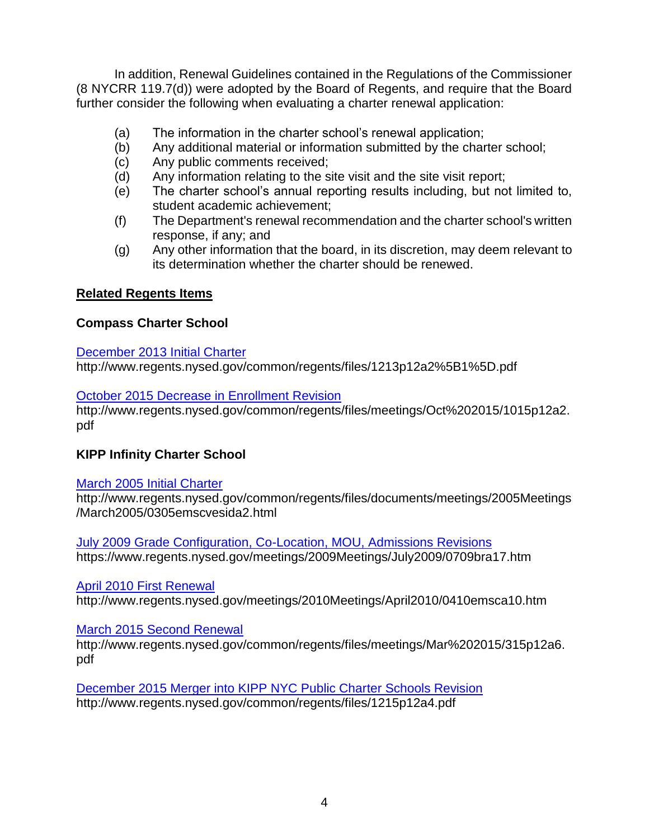In addition, Renewal Guidelines contained in the Regulations of the Commissioner (8 NYCRR 119.7(d)) were adopted by the Board of Regents, and require that the Board further consider the following when evaluating a charter renewal application:

- (a) The information in the charter school's renewal application;
- (b) Any additional material or information submitted by the charter school;
- (c) Any public comments received;
- (d) Any information relating to the site visit and the site visit report;
- (e) The charter school's annual reporting results including, but not limited to, student academic achievement;
- (f) The Department's renewal recommendation and the charter school's written response, if any; and
- (g) Any other information that the board, in its discretion, may deem relevant to its determination whether the charter should be renewed.

# **Related Regents Items**

# **Compass Charter School**

# [December 2013 Initial Charter](http://www.regents.nysed.gov/common/regents/files/1213p12a2%5B1%5D.pdf)

http://www.regents.nysed.gov/common/regents/files/1213p12a2%5B1%5D.pdf

# [October 2015 Decrease in Enrollment Revision](http://www.regents.nysed.gov/common/regents/files/meetings/Oct%202015/1015p12a2.pdf)

http://www.regents.nysed.gov/common/regents/files/meetings/Oct%202015/1015p12a2. pdf

# **KIPP Infinity Charter School**

# [March 2005 Initial Charter](http://www.regents.nysed.gov/common/regents/files/documents/meetings/2005Meetings/March2005/0305emscvesida2.html)

http://www.regents.nysed.gov/common/regents/files/documents/meetings/2005Meetings /March2005/0305emscvesida2.html

[July 2009 Grade Configuration, Co-Location, MOU, Admissions Revisions](https://www.regents.nysed.gov/meetings/2009Meetings/July2009/0709bra17.htm) https://www.regents.nysed.gov/meetings/2009Meetings/July2009/0709bra17.htm

[April 2010 First Renewal](http://www.regents.nysed.gov/meetings/2010Meetings/April2010/0410emsca10.htm) 

http://www.regents.nysed.gov/meetings/2010Meetings/April2010/0410emsca10.htm

# [March 2015 Second Renewal](http://www.regents.nysed.gov/common/regents/files/meetings/Mar%202015/315p12a6.pdf)

http://www.regents.nysed.gov/common/regents/files/meetings/Mar%202015/315p12a6. pdf

[December 2015 Merger into KIPP NYC Public Charter Schools Revision](http://www.regents.nysed.gov/common/regents/files/1215p12a4.pdf) http://www.regents.nysed.gov/common/regents/files/1215p12a4.pdf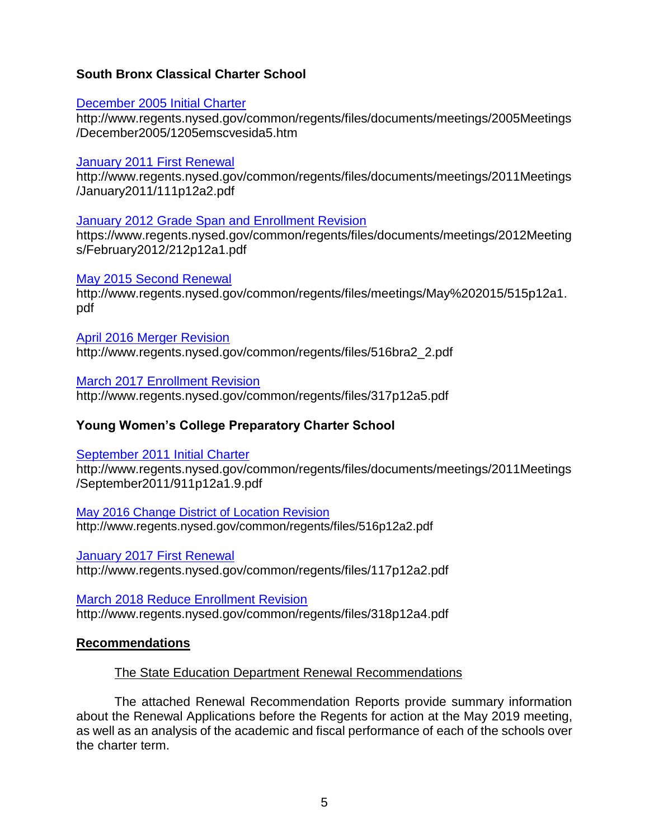# **South Bronx Classical Charter School**

# [December 2005 Initial Charter](http://www.regents.nysed.gov/common/regents/files/documents/meetings/2005Meetings/December2005/1205emscvesida5.htm)

http://www.regents.nysed.gov/common/regents/files/documents/meetings/2005Meetings /December2005/1205emscvesida5.htm

# [January 2011 First Renewal](http://www.regents.nysed.gov/common/regents/files/documents/meetings/2011Meetings/January2011/111p12a2.pdf)

http://www.regents.nysed.gov/common/regents/files/documents/meetings/2011Meetings /January2011/111p12a2.pdf

# [January 2012 Grade Span and Enrollment Revision](https://www.regents.nysed.gov/common/regents/files/documents/meetings/2012Meetings/February2012/212p12a1.pdf)

https://www.regents.nysed.gov/common/regents/files/documents/meetings/2012Meeting s/February2012/212p12a1.pdf

# [May 2015 Second Renewal](http://www.regents.nysed.gov/common/regents/files/meetings/May%202015/515p12a1.pdf)

http://www.regents.nysed.gov/common/regents/files/meetings/May%202015/515p12a1. pdf

[April 2016 Merger Revision](http://www.regents.nysed.gov/common/regents/files/516bra2_2.pdf) http://www.regents.nysed.gov/common/regents/files/516bra2\_2.pdf

[March 2017 Enrollment Revision](http://www.regents.nysed.gov/common/regents/files/317p12a5.pdf)

http://www.regents.nysed.gov/common/regents/files/317p12a5.pdf

# **Young Women's College Preparatory Charter School**

[September 2011 Initial Charter](http://www.regents.nysed.gov/common/regents/files/documents/meetings/2011Meetings/September2011/911p12a1.9.pdf)

http://www.regents.nysed.gov/common/regents/files/documents/meetings/2011Meetings /September2011/911p12a1.9.pdf

[May 2016 Change District of Location Revision](http://www.regents.nysed.gov/common/regents/files/516p12a2.pdf) http://www.regents.nysed.gov/common/regents/files/516p12a2.pdf

[January 2017 First Renewal](http://www.regents.nysed.gov/common/regents/files/117p12a2.pdf)  http://www.regents.nysed.gov/common/regents/files/117p12a2.pdf

[March 2018 Reduce Enrollment Revision](http://www.regents.nysed.gov/common/regents/files/318p12a4.pdf) http://www.regents.nysed.gov/common/regents/files/318p12a4.pdf

# **Recommendations**

# The State Education Department Renewal Recommendations

The attached Renewal Recommendation Reports provide summary information about the Renewal Applications before the Regents for action at the May 2019 meeting, as well as an analysis of the academic and fiscal performance of each of the schools over the charter term.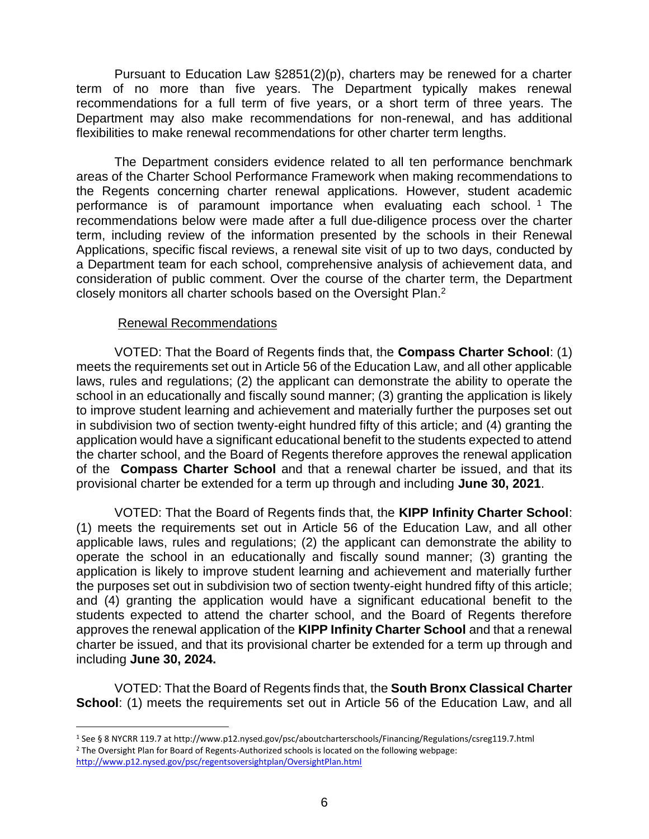Pursuant to Education Law §2851(2)(p), charters may be renewed for a charter term of no more than five years. The Department typically makes renewal recommendations for a full term of five years, or a short term of three years. The Department may also make recommendations for non-renewal, and has additional flexibilities to make renewal recommendations for other charter term lengths.

The Department considers evidence related to all ten performance benchmark areas of the Charter School Performance Framework when making recommendations to the Regents concerning charter renewal applications. However, student academic performance is of paramount importance when evaluating each school.<sup>1</sup> The recommendations below were made after a full due-diligence process over the charter term, including review of the information presented by the schools in their Renewal Applications, specific fiscal reviews, a renewal site visit of up to two days, conducted by a Department team for each school, comprehensive analysis of achievement data, and consideration of public comment. Over the course of the charter term, the Department closely monitors all charter schools based on the Oversight Plan.<sup>2</sup>

# Renewal Recommendations

VOTED: That the Board of Regents finds that, the **Compass Charter School**: (1) meets the requirements set out in Article 56 of the Education Law, and all other applicable laws, rules and regulations; (2) the applicant can demonstrate the ability to operate the school in an educationally and fiscally sound manner; (3) granting the application is likely to improve student learning and achievement and materially further the purposes set out in subdivision two of section twenty-eight hundred fifty of this article; and (4) granting the application would have a significant educational benefit to the students expected to attend the charter school, and the Board of Regents therefore approves the renewal application of the **Compass Charter School** and that a renewal charter be issued, and that its provisional charter be extended for a term up through and including **June 30, 2021**.

VOTED: That the Board of Regents finds that, the **KIPP Infinity Charter School**: (1) meets the requirements set out in Article 56 of the Education Law, and all other applicable laws, rules and regulations; (2) the applicant can demonstrate the ability to operate the school in an educationally and fiscally sound manner; (3) granting the application is likely to improve student learning and achievement and materially further the purposes set out in subdivision two of section twenty-eight hundred fifty of this article; and (4) granting the application would have a significant educational benefit to the students expected to attend the charter school, and the Board of Regents therefore approves the renewal application of the **KIPP Infinity Charter School** and that a renewal charter be issued, and that its provisional charter be extended for a term up through and including **June 30, 2024.**

VOTED: That the Board of Regents finds that, the **South Bronx Classical Charter School:** (1) meets the requirements set out in Article 56 of the Education Law, and all

 $\overline{a}$ 

<sup>1</sup> See § 8 NYCRR 119.7 at http://www.p12.nysed.gov/psc/aboutcharterschools/Financing/Regulations/csreg119.7.html <sup>2</sup> The Oversight Plan for Board of Regents-Authorized schools is located on the following webpage: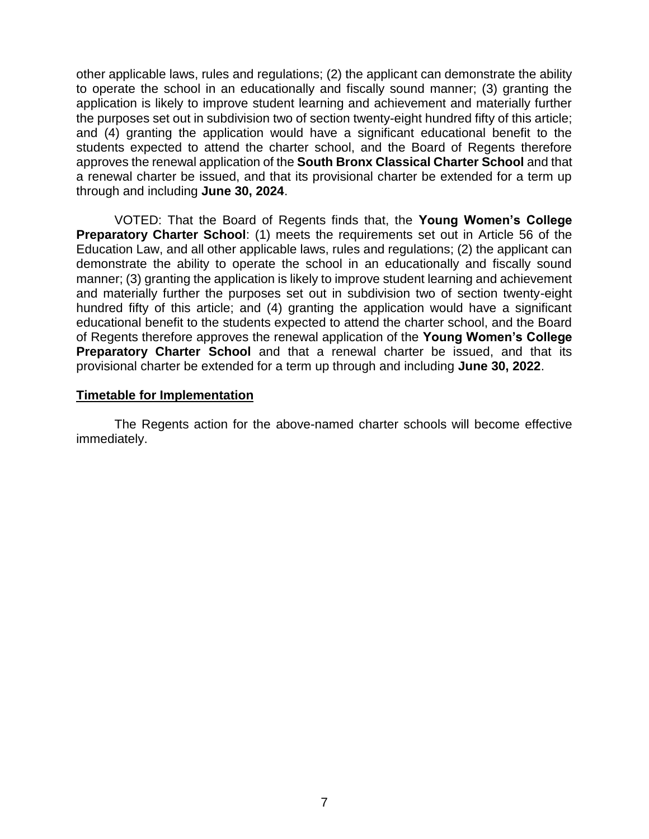other applicable laws, rules and regulations; (2) the applicant can demonstrate the ability to operate the school in an educationally and fiscally sound manner; (3) granting the application is likely to improve student learning and achievement and materially further the purposes set out in subdivision two of section twenty-eight hundred fifty of this article; and (4) granting the application would have a significant educational benefit to the students expected to attend the charter school, and the Board of Regents therefore approves the renewal application of the **South Bronx Classical Charter School** and that a renewal charter be issued, and that its provisional charter be extended for a term up through and including **June 30, 2024**.

VOTED: That the Board of Regents finds that, the **Young Women's College Preparatory Charter School:** (1) meets the requirements set out in Article 56 of the Education Law, and all other applicable laws, rules and regulations; (2) the applicant can demonstrate the ability to operate the school in an educationally and fiscally sound manner; (3) granting the application is likely to improve student learning and achievement and materially further the purposes set out in subdivision two of section twenty-eight hundred fifty of this article; and (4) granting the application would have a significant educational benefit to the students expected to attend the charter school, and the Board of Regents therefore approves the renewal application of the **Young Women's College Preparatory Charter School** and that a renewal charter be issued, and that its provisional charter be extended for a term up through and including **June 30, 2022**.

# **Timetable for Implementation**

The Regents action for the above-named charter schools will become effective immediately.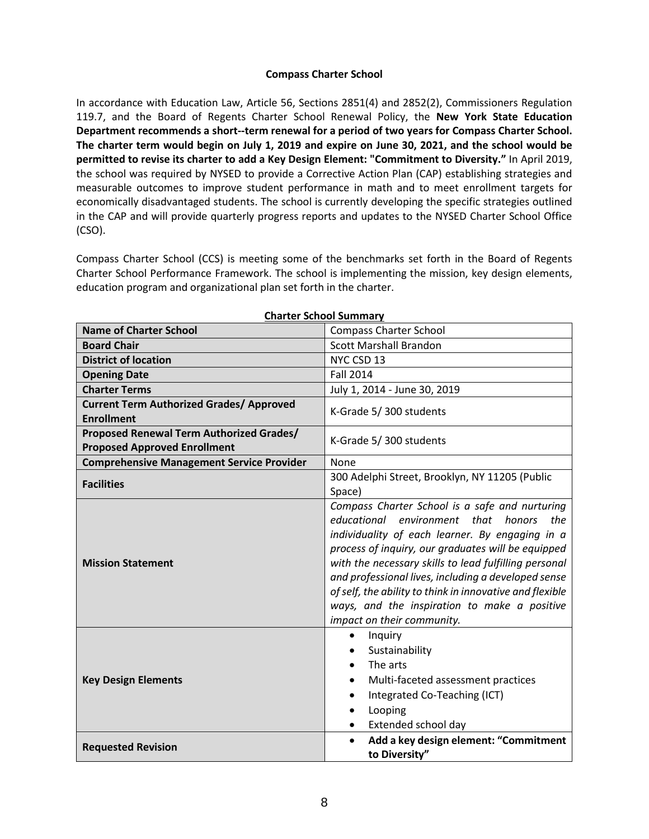### **Compass Charter School**

In accordance with Education Law, Article 56, Sections 2851(4) and 2852(2), Commissioners Regulation 119.7, and the Board of Regents Charter School Renewal Policy, the **New York State Education Department recommends a short--term renewal for a period of two years for Compass Charter School. The charter term would begin on July 1, 2019 and expire on June 30, 2021, and the school would be permitted to revise its charter to add a Key Design Element: "Commitment to Diversity."** In April 2019, the school was required by NYSED to provide a Corrective Action Plan (CAP) establishing strategies and measurable outcomes to improve student performance in math and to meet enrollment targets for economically disadvantaged students. The school is currently developing the specific strategies outlined in the CAP and will provide quarterly progress reports and updates to the NYSED Charter School Office (CSO).

Compass Charter School (CCS) is meeting some of the benchmarks set forth in the Board of Regents Charter School Performance Framework. The school is implementing the mission, key design elements, education program and organizational plan set forth in the charter.

| <b>Name of Charter School</b>                                                   | <b>Compass Charter School</b>                                                                                                                                                                                                                                                                                                                                                                                                                                      |  |
|---------------------------------------------------------------------------------|--------------------------------------------------------------------------------------------------------------------------------------------------------------------------------------------------------------------------------------------------------------------------------------------------------------------------------------------------------------------------------------------------------------------------------------------------------------------|--|
| <b>Board Chair</b>                                                              | <b>Scott Marshall Brandon</b>                                                                                                                                                                                                                                                                                                                                                                                                                                      |  |
| <b>District of location</b>                                                     | NYC CSD 13                                                                                                                                                                                                                                                                                                                                                                                                                                                         |  |
| <b>Opening Date</b>                                                             | <b>Fall 2014</b>                                                                                                                                                                                                                                                                                                                                                                                                                                                   |  |
| <b>Charter Terms</b>                                                            | July 1, 2014 - June 30, 2019                                                                                                                                                                                                                                                                                                                                                                                                                                       |  |
| <b>Current Term Authorized Grades/ Approved</b><br><b>Enrollment</b>            | K-Grade 5/300 students                                                                                                                                                                                                                                                                                                                                                                                                                                             |  |
| Proposed Renewal Term Authorized Grades/<br><b>Proposed Approved Enrollment</b> | K-Grade 5/300 students                                                                                                                                                                                                                                                                                                                                                                                                                                             |  |
| <b>Comprehensive Management Service Provider</b>                                | None                                                                                                                                                                                                                                                                                                                                                                                                                                                               |  |
| <b>Facilities</b>                                                               | 300 Adelphi Street, Brooklyn, NY 11205 (Public<br>Space)                                                                                                                                                                                                                                                                                                                                                                                                           |  |
| <b>Mission Statement</b>                                                        | Compass Charter School is a safe and nurturing<br>educational environment that<br>honors<br>the<br>individuality of each learner. By engaging in a<br>process of inquiry, our graduates will be equipped<br>with the necessary skills to lead fulfilling personal<br>and professional lives, including a developed sense<br>of self, the ability to think in innovative and flexible<br>ways, and the inspiration to make a positive<br>impact on their community. |  |
| <b>Key Design Elements</b>                                                      | Inquiry<br>$\bullet$<br>Sustainability<br>The arts<br>Multi-faceted assessment practices<br>Integrated Co-Teaching (ICT)<br>$\bullet$<br>Looping<br>$\bullet$<br>Extended school day<br>$\bullet$                                                                                                                                                                                                                                                                  |  |
| <b>Requested Revision</b>                                                       | Add a key design element: "Commitment<br>$\bullet$<br>to Diversity"                                                                                                                                                                                                                                                                                                                                                                                                |  |

**Charter School Summary**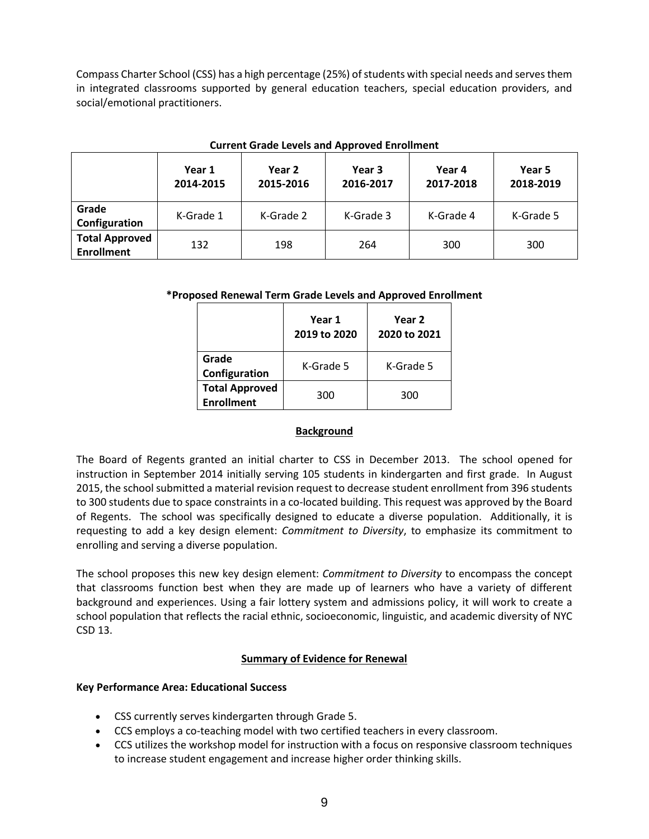Compass Charter School (CSS) has a high percentage (25%) of students with special needs and serves them in integrated classrooms supported by general education teachers, special education providers, and social/emotional practitioners.

|                                            | Year 1<br>2014-2015 | Year 2<br>2015-2016 | Year 3<br>2016-2017 | Year 4<br>2017-2018 | Year 5<br>2018-2019 |
|--------------------------------------------|---------------------|---------------------|---------------------|---------------------|---------------------|
| Grade<br>Configuration                     | K-Grade 1           | K-Grade 2           | K-Grade 3           | K-Grade 4           | K-Grade 5           |
| <b>Total Approved</b><br><b>Enrollment</b> | 132                 | 198                 | 264                 | 300                 | 300                 |

### **Current Grade Levels and Approved Enrollment**

## **\*Proposed Renewal Term Grade Levels and Approved Enrollment**

|                                            | Year 1<br>2019 to 2020 | Year 2<br>2020 to 2021 |
|--------------------------------------------|------------------------|------------------------|
| Grade<br>Configuration                     | K-Grade 5              | K-Grade 5              |
| <b>Total Approved</b><br><b>Enrollment</b> | 300                    | 300                    |

#### **Background**

The Board of Regents granted an initial charter to CSS in December 2013. The school opened for instruction in September 2014 initially serving 105 students in kindergarten and first grade. In August 2015, the school submitted a material revision request to decrease student enrollment from 396 students to 300 students due to space constraints in a co-located building. This request was approved by the Board of Regents. The school was specifically designed to educate a diverse population. Additionally, it is requesting to add a key design element: *Commitment to Diversity*, to emphasize its commitment to enrolling and serving a diverse population.

The school proposes this new key design element: *Commitment to Diversity* to encompass the concept that classrooms function best when they are made up of learners who have a variety of different background and experiences. Using a fair lottery system and admissions policy, it will work to create a school population that reflects the racial ethnic, socioeconomic, linguistic, and academic diversity of NYC CSD 13.

## **Summary of Evidence for Renewal**

## **Key Performance Area: Educational Success**

- CSS currently serves kindergarten through Grade 5.
- CCS employs a co-teaching model with two certified teachers in every classroom.
- CCS utilizes the workshop model for instruction with a focus on responsive classroom techniques to increase student engagement and increase higher order thinking skills.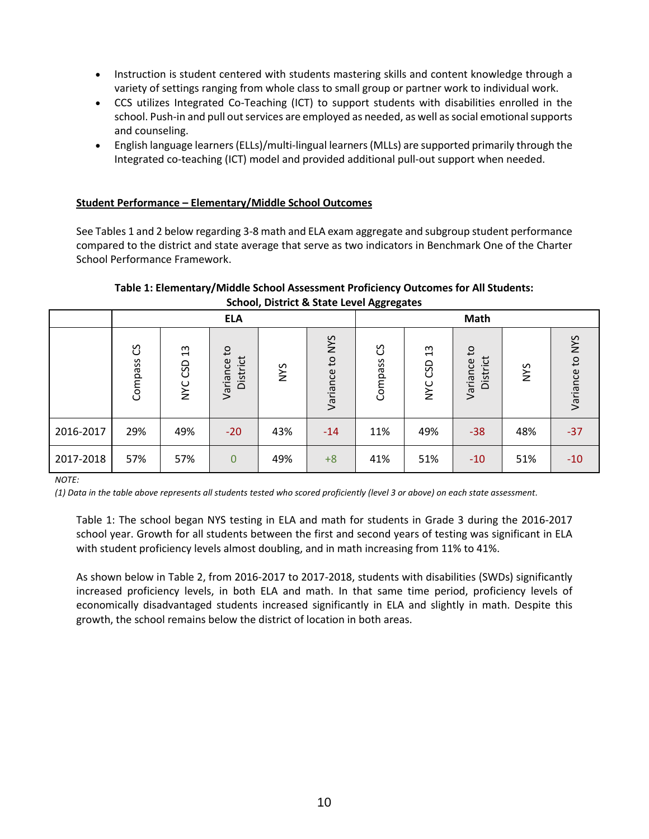- Instruction is student centered with students mastering skills and content knowledge through a variety of settings ranging from whole class to small group or partner work to individual work.
- CCS utilizes Integrated Co-Teaching (ICT) to support students with disabilities enrolled in the school. Push-in and pull out services are employed as needed, as well as social emotional supports and counseling.
- English language learners(ELLs)/multi-lingual learners(MLLs) are supported primarily through the Integrated co-teaching (ICT) model and provided additional pull-out support when needed.

# **Student Performance – Elementary/Middle School Outcomes**

See Tables 1 and 2 below regarding 3-8 math and ELA exam aggregate and subgroup student performance compared to the district and state average that serve as two indicators in Benchmark One of the Charter School Performance Framework.

## **Table 1: Elementary/Middle School Assessment Proficiency Outcomes for All Students: School, District & State Level Aggregates**

|           | <b>ELA</b>        |                                    |                                        |            |                 | -00- -0- - - - |                                    | Math                                 |            |                           |
|-----------|-------------------|------------------------------------|----------------------------------------|------------|-----------------|----------------|------------------------------------|--------------------------------------|------------|---------------------------|
|           | უ<br>ე<br>Compass | $\frac{3}{2}$<br>CSD<br><b>NYC</b> | S <sub>1</sub><br>District<br>Variance | <b>NYS</b> | Variance to NYS | රි<br>Compass  | $\frac{3}{2}$<br>CSD<br><b>NYC</b> | $\mathbf{c}$<br>District<br>Variance | <b>SAN</b> | <b>NYS</b><br>Variance to |
| 2016-2017 | 29%               | 49%                                | $-20$                                  | 43%        | $-14$           | 11%            | 49%                                | $-38$                                | 48%        | $-37$                     |
| 2017-2018 | 57%               | 57%                                | $\overline{0}$                         | 49%        | $+8$            | 41%            | 51%                                | $-10$                                | 51%        | $-10$                     |

*NOTE:*

*(1) Data in the table above represents all students tested who scored proficiently (level 3 or above) on each state assessment.*

Table 1: The school began NYS testing in ELA and math for students in Grade 3 during the 2016-2017 school year. Growth for all students between the first and second years of testing was significant in ELA with student proficiency levels almost doubling, and in math increasing from 11% to 41%.

As shown below in Table 2, from 2016-2017 to 2017-2018, students with disabilities (SWDs) significantly increased proficiency levels, in both ELA and math. In that same time period, proficiency levels of economically disadvantaged students increased significantly in ELA and slightly in math. Despite this growth, the school remains below the district of location in both areas.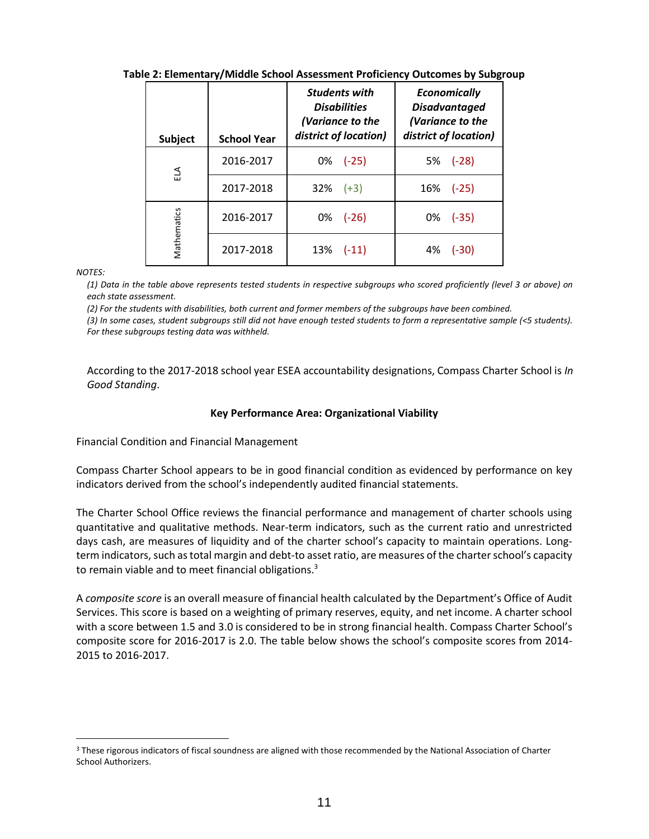| <b>Subject</b> | <b>School Year</b> | <b>Students with</b><br><b>Disabilities</b><br>(Variance to the<br>district of location) | <b>Economically</b><br><b>Disadvantaged</b><br>(Variance to the<br>district of location) |
|----------------|--------------------|------------------------------------------------------------------------------------------|------------------------------------------------------------------------------------------|
| ELA            | 2016-2017          | $0\%$ (-25)                                                                              | 5%<br>$(-28)$                                                                            |
|                | 2017-2018          | 32%<br>$(+3)$                                                                            | $(-25)$<br>16%                                                                           |
|                | 2016-2017          | 0%<br>$(-26)$                                                                            | $(-35)$<br>0%                                                                            |
| Mathematics    | 2017-2018          | 13%<br>$(-11)$                                                                           | 4%<br>$(-30)$                                                                            |

## **Table 2: Elementary/Middle School Assessment Proficiency Outcomes by Subgroup**

*NOTES:*

 $\overline{a}$ 

*(1) Data in the table above represents tested students in respective subgroups who scored proficiently (level 3 or above) on each state assessment.*

(2) For the students with disabilities, both current and former members of the subgroups have been combined.

*(3) In some cases, student subgroups still did not have enough tested students to form a representative sample (<5 students). For these subgroups testing data was withheld.*

According to the 2017-2018 school year ESEA accountability designations, Compass Charter School is *In Good Standing*.

### **Key Performance Area: Organizational Viability**

Financial Condition and Financial Management

Compass Charter School appears to be in good financial condition as evidenced by performance on key indicators derived from the school's independently audited financial statements.

The Charter School Office reviews the financial performance and management of charter schools using quantitative and qualitative methods. Near‐term indicators, such as the current ratio and unrestricted days cash, are measures of liquidity and of the charter school's capacity to maintain operations. Long‐ term indicators, such as total margin and debt‐to asset ratio, are measures of the charter school's capacity to remain viable and to meet financial obligations.<sup>3</sup>

A *composite score* is an overall measure of financial health calculated by the Department's Office of Audit Services. This score is based on a weighting of primary reserves, equity, and net income. A charter school with a score between 1.5 and 3.0 is considered to be in strong financial health. Compass Charter School's composite score for 2016-2017 is 2.0. The table below shows the school's composite scores from 2014- 2015 to 2016-2017.

<sup>&</sup>lt;sup>3</sup> These rigorous indicators of fiscal soundness are aligned with those recommended by the National Association of Charter School Authorizers.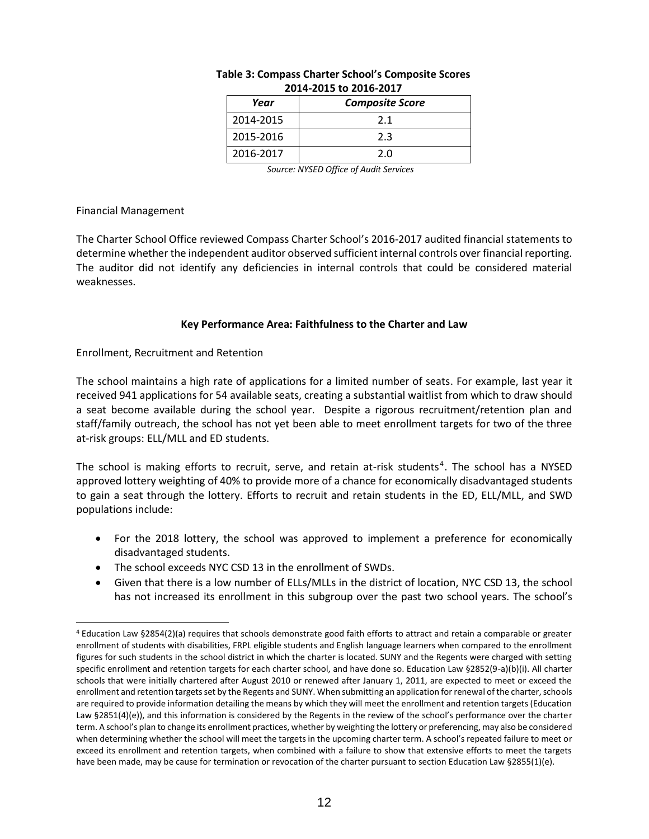| Year      | <b>Composite Score</b> |  |  |  |  |  |
|-----------|------------------------|--|--|--|--|--|
| 2014-2015 | 21                     |  |  |  |  |  |
| 2015-2016 | 2.3                    |  |  |  |  |  |
| 2016-2017 | 2.0                    |  |  |  |  |  |

### **Table 3: Compass Charter School's Composite Scores 2014-2015 to 2016-2017**

*Source: NYSED Office of Audit Services*

### Financial Management

 $\overline{a}$ 

The Charter School Office reviewed Compass Charter School's 2016-2017 audited financial statements to determine whether the independent auditor observed sufficient internal controls over financial reporting. The auditor did not identify any deficiencies in internal controls that could be considered material weaknesses.

## **Key Performance Area: Faithfulness to the Charter and Law**

Enrollment, Recruitment and Retention

The school maintains a high rate of applications for a limited number of seats. For example, last year it received 941 applications for 54 available seats, creating a substantial waitlist from which to draw should a seat become available during the school year. Despite a rigorous recruitment/retention plan and staff/family outreach, the school has not yet been able to meet enrollment targets for two of the three at-risk groups: ELL/MLL and ED students.

The school is making efforts to recruit, serve, and retain at-risk students<sup>4</sup>. The school has a NYSED approved lottery weighting of 40% to provide more of a chance for economically disadvantaged students to gain a seat through the lottery. Efforts to recruit and retain students in the ED, ELL/MLL, and SWD populations include:

- For the 2018 lottery, the school was approved to implement a preference for economically disadvantaged students.
- The school exceeds NYC CSD 13 in the enrollment of SWDs.
- Given that there is a low number of ELLs/MLLs in the district of location, NYC CSD 13, the school has not increased its enrollment in this subgroup over the past two school years. The school's

<sup>4</sup> Education Law §2854(2)(a) requires that schools demonstrate good faith efforts to attract and retain a comparable or greater enrollment of students with disabilities, FRPL eligible students and English language learners when compared to the enrollment figures for such students in the school district in which the charter is located. SUNY and the Regents were charged with setting specific enrollment and retention targets for each charter school, and have done so. Education Law §2852(9-a)(b)(i). All charter schools that were initially chartered after August 2010 or renewed after January 1, 2011, are expected to meet or exceed the enrollment and retention targets set by the Regents and SUNY. When submitting an application for renewal of the charter, schools are required to provide information detailing the means by which they will meet the enrollment and retention targets (Education Law §2851(4)(e)), and this information is considered by the Regents in the review of the school's performance over the charter term. A school's plan to change its enrollment practices, whether by weighting the lottery or preferencing, may also be considered when determining whether the school will meet the targets in the upcoming charter term. A school's repeated failure to meet or exceed its enrollment and retention targets, when combined with a failure to show that extensive efforts to meet the targets have been made, may be cause for termination or revocation of the charter pursuant to section Education Law §2855(1)(e).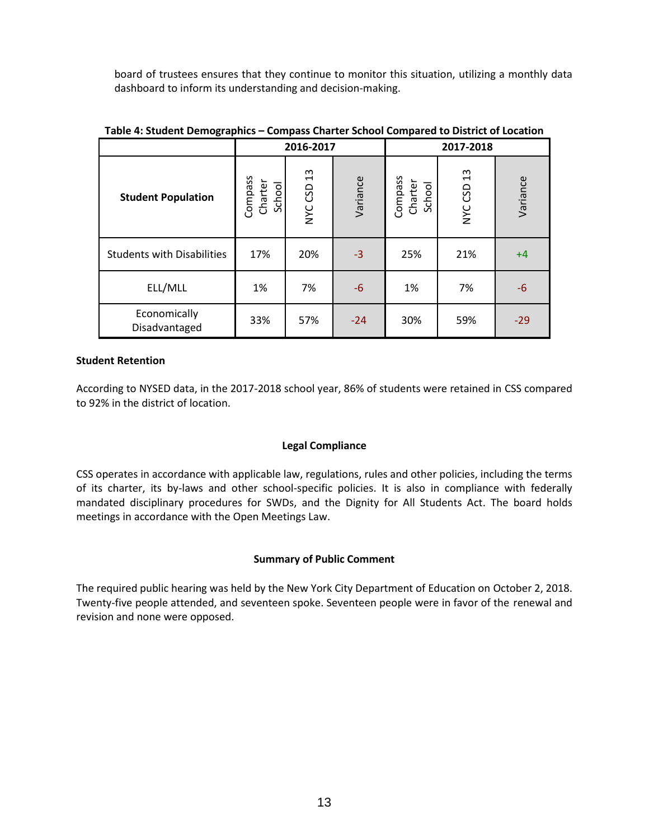board of trustees ensures that they continue to monitor this situation, utilizing a monthly data dashboard to inform its understanding and decision-making.

|                                   | 2016-2017                    |            |          | 2017-2018                    |            |          |
|-----------------------------------|------------------------------|------------|----------|------------------------------|------------|----------|
| <b>Student Population</b>         | Compass<br>Charter<br>School | NYC CSD 13 | Variance | Compass<br>Charter<br>School | NYC CSD 13 | Variance |
| <b>Students with Disabilities</b> | 17%                          | 20%        | $-3$     | 25%                          | 21%        | $+4$     |
| ELL/MLL                           | 1%                           | 7%         | $-6$     | 1%                           | 7%         | $-6$     |
| Economically<br>Disadvantaged     | 33%                          | 57%        | $-24$    | 30%                          | 59%        | $-29$    |

## **Table 4: Student Demographics – Compass Charter School Compared to District of Location**

#### **Student Retention**

According to NYSED data, in the 2017-2018 school year, 86% of students were retained in CSS compared to 92% in the district of location.

## **Legal Compliance**

CSS operates in accordance with applicable law, regulations, rules and other policies, including the terms of its charter, its by-laws and other school-specific policies. It is also in compliance with federally mandated disciplinary procedures for SWDs, and the Dignity for All Students Act. The board holds meetings in accordance with the Open Meetings Law.

#### **Summary of Public Comment**

The required public hearing was held by the New York City Department of Education on October 2, 2018. Twenty-five people attended, and seventeen spoke. Seventeen people were in favor of the renewal and revision and none were opposed.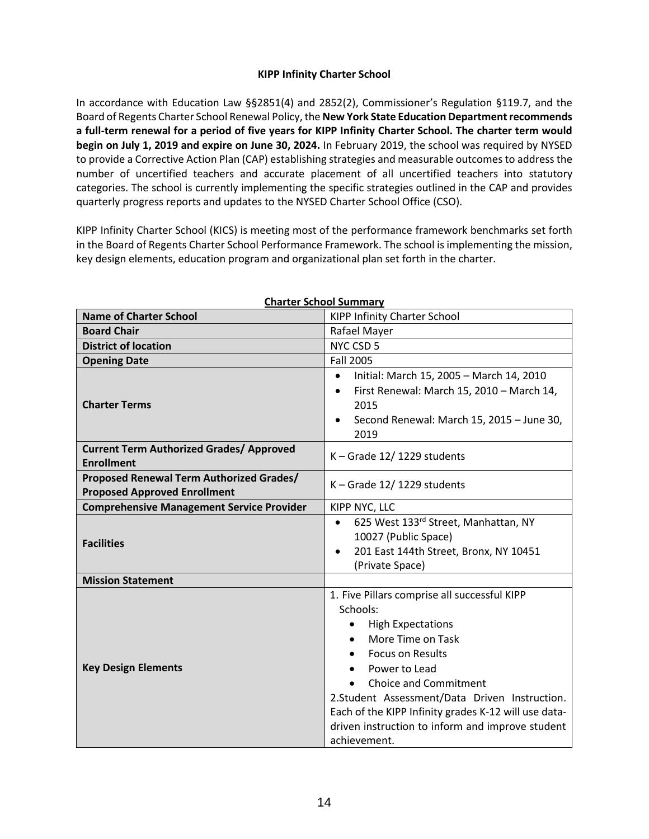# **KIPP Infinity Charter School**

In accordance with Education Law §§2851(4) and 2852(2), Commissioner's Regulation §119.7, and the Board of Regents Charter School Renewal Policy, the **New York State Education Department recommends a full-term renewal for a period of five years for KIPP Infinity Charter School. The charter term would begin on July 1, 2019 and expire on June 30, 2024.** In February 2019, the school was required by NYSED to provide a Corrective Action Plan (CAP) establishing strategies and measurable outcomes to address the number of uncertified teachers and accurate placement of all uncertified teachers into statutory categories. The school is currently implementing the specific strategies outlined in the CAP and provides quarterly progress reports and updates to the NYSED Charter School Office (CSO).

KIPP Infinity Charter School (KICS) is meeting most of the performance framework benchmarks set forth in the Board of Regents Charter School Performance Framework. The school is implementing the mission, key design elements, education program and organizational plan set forth in the charter.

| <b>Name of Charter School</b>                                                   | ן ושווווושכ וטטווטכ וטווטו<br><b>KIPP Infinity Charter School</b>                                                                                                                                                                                                                                                                                                                            |
|---------------------------------------------------------------------------------|----------------------------------------------------------------------------------------------------------------------------------------------------------------------------------------------------------------------------------------------------------------------------------------------------------------------------------------------------------------------------------------------|
| <b>Board Chair</b>                                                              | Rafael Mayer                                                                                                                                                                                                                                                                                                                                                                                 |
| <b>District of location</b>                                                     | NYC CSD 5                                                                                                                                                                                                                                                                                                                                                                                    |
| <b>Opening Date</b>                                                             | <b>Fall 2005</b>                                                                                                                                                                                                                                                                                                                                                                             |
| <b>Charter Terms</b>                                                            | Initial: March 15, 2005 - March 14, 2010<br>$\bullet$<br>First Renewal: March 15, 2010 - March 14,<br>$\bullet$<br>2015<br>Second Renewal: March 15, 2015 - June 30,<br>$\bullet$<br>2019                                                                                                                                                                                                    |
| <b>Current Term Authorized Grades/ Approved</b><br><b>Enrollment</b>            | $K -$ Grade 12/1229 students                                                                                                                                                                                                                                                                                                                                                                 |
| Proposed Renewal Term Authorized Grades/<br><b>Proposed Approved Enrollment</b> | $K -$ Grade 12/1229 students                                                                                                                                                                                                                                                                                                                                                                 |
| <b>Comprehensive Management Service Provider</b>                                | KIPP NYC, LLC                                                                                                                                                                                                                                                                                                                                                                                |
| <b>Facilities</b>                                                               | 625 West 133rd Street, Manhattan, NY<br>$\bullet$<br>10027 (Public Space)<br>201 East 144th Street, Bronx, NY 10451<br>$\bullet$<br>(Private Space)                                                                                                                                                                                                                                          |
| <b>Mission Statement</b>                                                        |                                                                                                                                                                                                                                                                                                                                                                                              |
| <b>Key Design Elements</b>                                                      | 1. Five Pillars comprise all successful KIPP<br>Schools:<br><b>High Expectations</b><br>$\bullet$<br>More Time on Task<br>$\bullet$<br><b>Focus on Results</b><br>Power to Lead<br><b>Choice and Commitment</b><br>2.Student Assessment/Data Driven Instruction.<br>Each of the KIPP Infinity grades K-12 will use data-<br>driven instruction to inform and improve student<br>achievement. |

#### **Charter School Summary**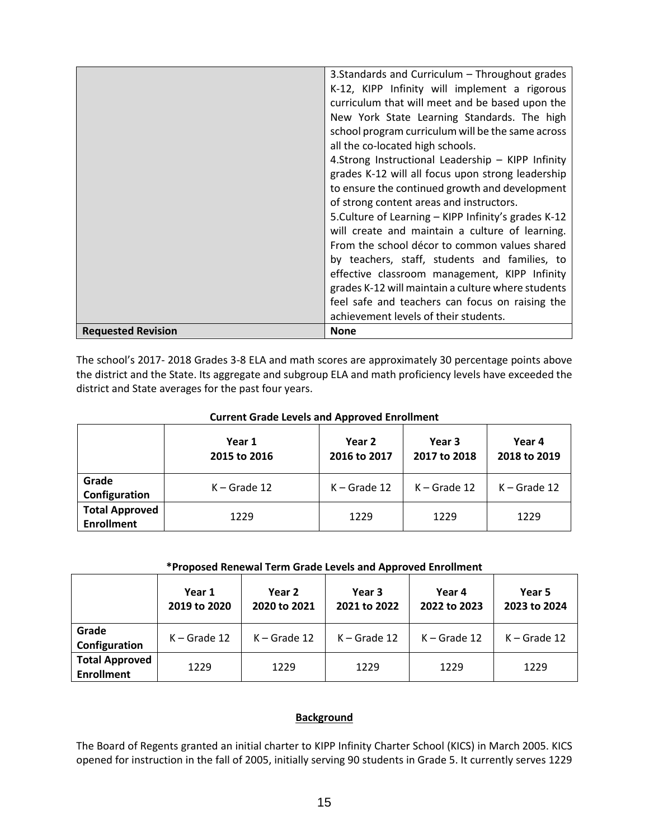|                           | 3. Standards and Curriculum - Throughout grades      |
|---------------------------|------------------------------------------------------|
|                           | K-12, KIPP Infinity will implement a rigorous        |
|                           | curriculum that will meet and be based upon the      |
|                           | New York State Learning Standards. The high          |
|                           | school program curriculum will be the same across    |
|                           | all the co-located high schools.                     |
|                           | 4.Strong Instructional Leadership - KIPP Infinity    |
|                           | grades K-12 will all focus upon strong leadership    |
|                           | to ensure the continued growth and development       |
|                           | of strong content areas and instructors.             |
|                           | 5. Culture of Learning - KIPP Infinity's grades K-12 |
|                           | will create and maintain a culture of learning.      |
|                           | From the school décor to common values shared        |
|                           | by teachers, staff, students and families, to        |
|                           | effective classroom management, KIPP Infinity        |
|                           | grades K-12 will maintain a culture where students   |
|                           | feel safe and teachers can focus on raising the      |
|                           | achievement levels of their students.                |
| <b>Requested Revision</b> | <b>None</b>                                          |

The school's 2017- 2018 Grades 3-8 ELA and math scores are approximately 30 percentage points above the district and the State. Its aggregate and subgroup ELA and math proficiency levels have exceeded the district and State averages for the past four years.

| <b>Current Grade Levels and Approved Enrollment</b> |  |
|-----------------------------------------------------|--|
|                                                     |  |

|                                            | Year 1<br>2015 to 2016 | Year 2<br>2016 to 2017 | Year 3<br>2017 to 2018 | Year 4<br>2018 to 2019 |  |
|--------------------------------------------|------------------------|------------------------|------------------------|------------------------|--|
| Grade<br>Configuration                     | $K -$ Grade 12         | $K -$ Grade 12         | $K -$ Grade 12         | $K -$ Grade 12         |  |
| <b>Total Approved</b><br><b>Enrollment</b> | 1229                   | 1229                   | 1229                   | 1229                   |  |

## **\*Proposed Renewal Term Grade Levels and Approved Enrollment**

|                                            | Year 1<br>2019 to 2020 | Year 2<br>2020 to 2021 | Year 3<br>2021 to 2022 | Year 4<br>2022 to 2023 | Year 5<br>2023 to 2024 |
|--------------------------------------------|------------------------|------------------------|------------------------|------------------------|------------------------|
| Grade<br>Configuration                     | $K -$ Grade 12         | $K -$ Grade 12         | $K -$ Grade 12         | $K -$ Grade 12         | $K -$ Grade 12         |
| <b>Total Approved</b><br><b>Enrollment</b> | 1229                   | 1229                   | 1229                   | 1229                   | 1229                   |

## **Background**

The Board of Regents granted an initial charter to KIPP Infinity Charter School (KICS) in March 2005. KICS opened for instruction in the fall of 2005, initially serving 90 students in Grade 5. It currently serves 1229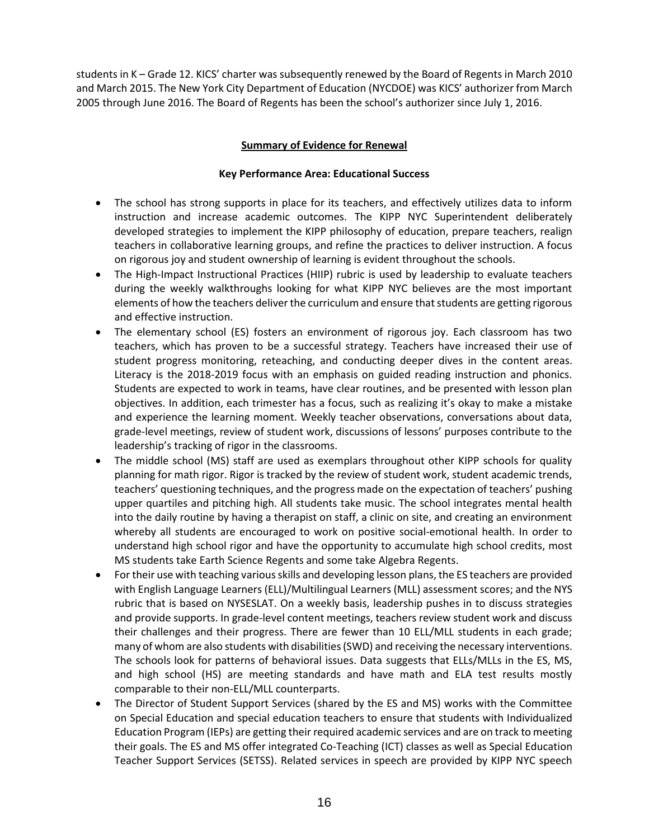students in K – Grade 12. KICS' charter was subsequently renewed by the Board of Regents in March 2010 and March 2015. The New York City Department of Education (NYCDOE) was KICS' authorizer from March 2005 through June 2016. The Board of Regents has been the school's authorizer since July 1, 2016.

# **Summary of Evidence for Renewal**

# **Key Performance Area: Educational Success**

- The school has strong supports in place for its teachers, and effectively utilizes data to inform instruction and increase academic outcomes. The KIPP NYC Superintendent deliberately developed strategies to implement the KIPP philosophy of education, prepare teachers, realign teachers in collaborative learning groups, and refine the practices to deliver instruction. A focus on rigorous joy and student ownership of learning is evident throughout the schools.
- The High-Impact Instructional Practices (HIIP) rubric is used by leadership to evaluate teachers during the weekly walkthroughs looking for what KIPP NYC believes are the most important elements of how the teachers deliver the curriculum and ensure that students are getting rigorous and effective instruction.
- The elementary school (ES) fosters an environment of rigorous joy. Each classroom has two teachers, which has proven to be a successful strategy. Teachers have increased their use of student progress monitoring, reteaching, and conducting deeper dives in the content areas. Literacy is the 2018-2019 focus with an emphasis on guided reading instruction and phonics. Students are expected to work in teams, have clear routines, and be presented with lesson plan objectives. In addition, each trimester has a focus, such as realizing it's okay to make a mistake and experience the learning moment. Weekly teacher observations, conversations about data, grade-level meetings, review of student work, discussions of lessons' purposes contribute to the leadership's tracking of rigor in the classrooms.
- The middle school (MS) staff are used as exemplars throughout other KIPP schools for quality planning for math rigor. Rigor is tracked by the review of student work, student academic trends, teachers' questioning techniques, and the progress made on the expectation of teachers' pushing upper quartiles and pitching high. All students take music. The school integrates mental health into the daily routine by having a therapist on staff, a clinic on site, and creating an environment whereby all students are encouraged to work on positive social-emotional health. In order to understand high school rigor and have the opportunity to accumulate high school credits, most MS students take Earth Science Regents and some take Algebra Regents.
- For their use with teaching various skills and developing lesson plans, the ES teachers are provided with English Language Learners (ELL)/Multilingual Learners (MLL) assessment scores; and the NYS rubric that is based on NYSESLAT. On a weekly basis, leadership pushes in to discuss strategies and provide supports. In grade-level content meetings, teachers review student work and discuss their challenges and their progress. There are fewer than 10 ELL/MLL students in each grade; many of whom are also students with disabilities (SWD) and receiving the necessary interventions. The schools look for patterns of behavioral issues. Data suggests that ELLs/MLLs in the ES, MS, and high school (HS) are meeting standards and have math and ELA test results mostly comparable to their non-ELL/MLL counterparts.
- The Director of Student Support Services (shared by the ES and MS) works with the Committee on Special Education and special education teachers to ensure that students with Individualized Education Program (IEPs) are getting their required academic services and are on track to meeting their goals. The ES and MS offer integrated Co-Teaching (ICT) classes as well as Special Education Teacher Support Services (SETSS). Related services in speech are provided by KIPP NYC speech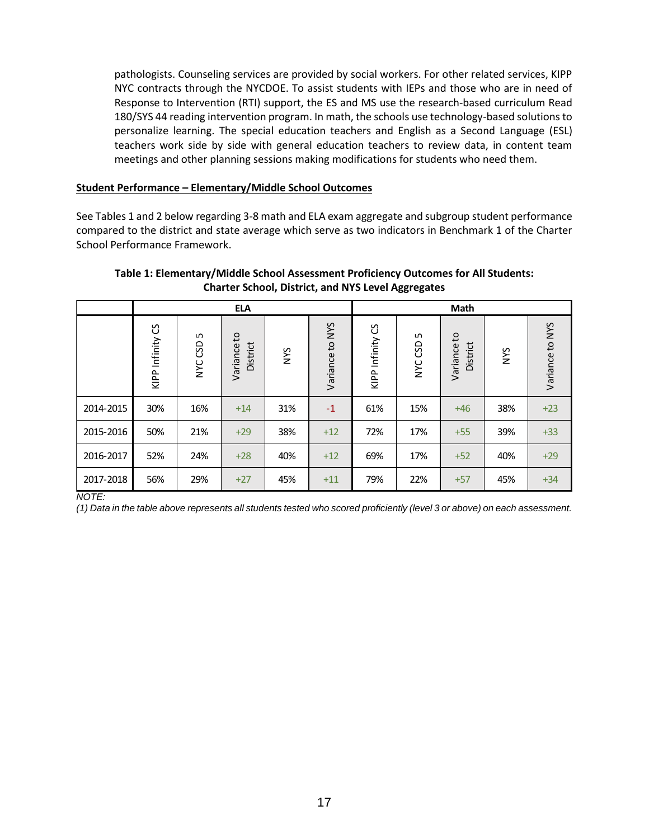pathologists. Counseling services are provided by social workers. For other related services, KIPP NYC contracts through the NYCDOE. To assist students with IEPs and those who are in need of Response to Intervention (RTI) support, the ES and MS use the research-based curriculum Read 180/SYS 44 reading intervention program. In math, the schools use technology-based solutions to personalize learning. The special education teachers and English as a Second Language (ESL) teachers work side by side with general education teachers to review data, in content team meetings and other planning sessions making modifications for students who need them.

### **Student Performance – Elementary/Middle School Outcomes**

See Tables 1 and 2 below regarding 3-8 math and ELA exam aggregate and subgroup student performance compared to the district and state average which serve as two indicators in Benchmark 1 of the Charter School Performance Framework.

### **Table 1: Elementary/Middle School Assessment Proficiency Outcomes for All Students: Charter School, District, and NYS Level Aggregates**

|           |                  |                | <b>ELA</b>              |     |                 | <b>Math</b>           |                          |                         |            |                 |
|-----------|------------------|----------------|-------------------------|-----|-----------------|-----------------------|--------------------------|-------------------------|------------|-----------------|
|           | KIPP Infinity CS | LN,<br>NYC CSD | Variance to<br>District | NYS | Variance to NYS | უ<br>Infinity<br>KIPP | LN.<br>CSD<br><b>NAC</b> | Variance to<br>District | <b>NVS</b> | Variance to NYS |
| 2014-2015 | 30%              | 16%            | $+14$                   | 31% | $-1$            | 61%                   | 15%                      | $+46$                   | 38%        | $+23$           |
| 2015-2016 | 50%              | 21%            | $+29$                   | 38% | $+12$           | 72%                   | 17%                      | $+55$                   | 39%        | $+33$           |
| 2016-2017 | 52%              | 24%            | $+28$                   | 40% | $+12$           | 69%                   | 17%                      | $+52$                   | 40%        | $+29$           |
| 2017-2018 | 56%              | 29%            | $+27$                   | 45% | $+11$           | 79%                   | 22%                      | $+57$                   | 45%        | $+34$           |

*NOTE:*

*(1) Data in the table above represents all students tested who scored proficiently (level 3 or above) on each assessment.*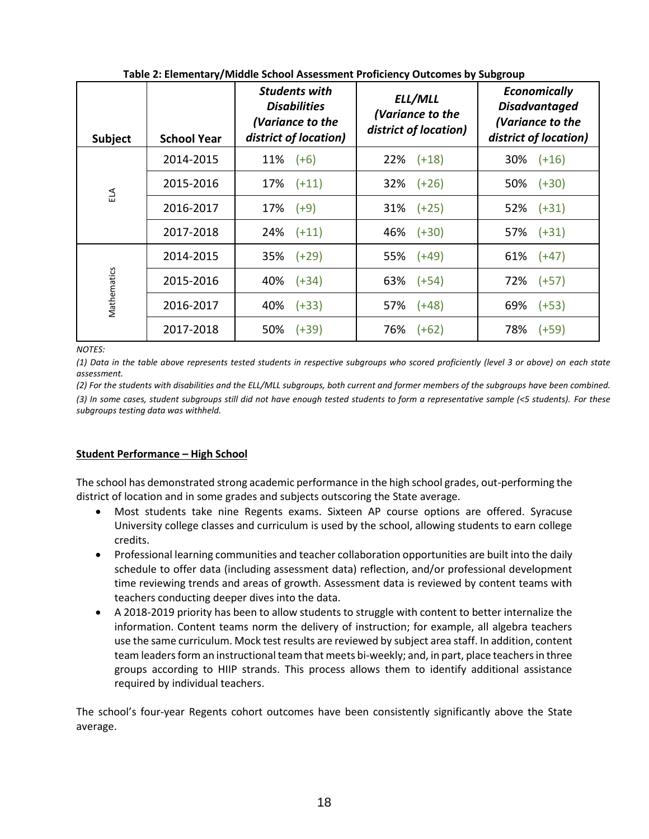| Subject      | <b>School Year</b> | <b>Students with</b><br><b>Disabilities</b><br>(Variance to the<br>district of location) | ELL/MLL<br>(Variance to the<br>district of location) | <b>Economically</b><br><b>Disadvantaged</b><br>(Variance to the<br>district of location) |
|--------------|--------------------|------------------------------------------------------------------------------------------|------------------------------------------------------|------------------------------------------------------------------------------------------|
|              | 2014-2015          | $(+6)$<br>11%                                                                            | $(+18)$<br>22%                                       | $30\%$ $(+16)$                                                                           |
| $\mathbb{E}$ | 2015-2016          | $17\%$ $(+11)$                                                                           | $32\%$ $(+26)$                                       | $50\%$ $(+30)$                                                                           |
|              | 2016-2017          | $17\%$ $(+9)$                                                                            | $31\%$ $(+25)$                                       | $52\%$ $(+31)$                                                                           |
|              | 2017-2018          | $24\%$ $(+11)$                                                                           | 46% (+30)                                            | $57\%$ $(+31)$                                                                           |
|              | 2014-2015          | 35%<br>$(+29)$                                                                           | 55% (+49)                                            | $61\%$ $(+47)$                                                                           |
|              | 2015-2016          | $(+34)$<br>40%                                                                           | $63\%$ $(+54)$                                       | $72\%$ $(+57)$                                                                           |
| Mathematics  | 2016-2017          | $(+33)$<br>40%                                                                           | $(+48)$<br>57%                                       | 69%<br>$(+53)$                                                                           |
|              | 2017-2018          | 50%<br>$(+39)$                                                                           | 76%<br>$(+62)$                                       | 78% (+59)                                                                                |

**Table 2: Elementary/Middle School Assessment Proficiency Outcomes by Subgroup**

*NOTES:*

*(1) Data in the table above represents tested students in respective subgroups who scored proficiently (level 3 or above) on each state assessment.*

(2) For the students with disabilities and the ELL/MLL subgroups, both current and former members of the subgroups have been combined. *(3) In some cases, student subgroups still did not have enough tested students to form a representative sample (<5 students). For these subgroups testing data was withheld.*

# **Student Performance – High School**

The school has demonstrated strong academic performance in the high school grades, out-performing the district of location and in some grades and subjects outscoring the State average.

- Most students take nine Regents exams. Sixteen AP course options are offered. Syracuse University college classes and curriculum is used by the school, allowing students to earn college credits.
- Professional learning communities and teacher collaboration opportunities are built into the daily schedule to offer data (including assessment data) reflection, and/or professional development time reviewing trends and areas of growth. Assessment data is reviewed by content teams with teachers conducting deeper dives into the data.
- A 2018-2019 priority has been to allow students to struggle with content to better internalize the information. Content teams norm the delivery of instruction; for example, all algebra teachers use the same curriculum. Mock test results are reviewed by subject area staff. In addition, content team leaders form an instructional team that meets bi-weekly; and, in part, place teachers in three groups according to HIIP strands. This process allows them to identify additional assistance required by individual teachers.

The school's four-year Regents cohort outcomes have been consistently significantly above the State average.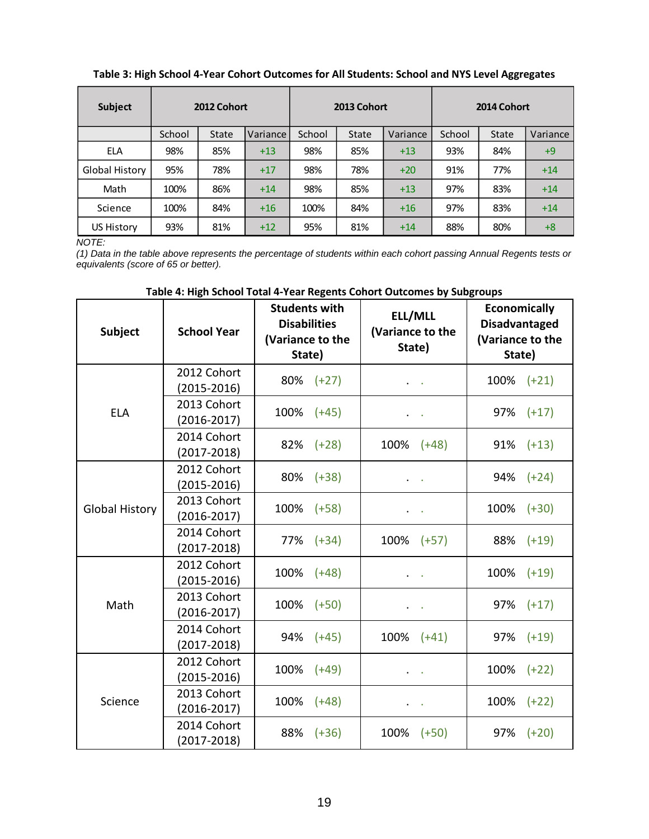**Table 3: High School 4-Year Cohort Outcomes for All Students: School and NYS Level Aggregates**

| Subject           | 2012 Cohort |              |          | 2013 Cohort |              |          | 2014 Cohort |              |          |  |
|-------------------|-------------|--------------|----------|-------------|--------------|----------|-------------|--------------|----------|--|
|                   | School      | <b>State</b> | Variance | School      | <b>State</b> | Variance | School      | <b>State</b> | Variance |  |
| <b>ELA</b>        | 98%         | 85%          | $+13$    | 98%         | 85%          | $+13$    | 93%         | 84%          | $+9$     |  |
| Global History    | 95%         | 78%          | $+17$    | 98%         | 78%          | $+20$    | 91%         | 77%          | $+14$    |  |
| Math              | 100%        | 86%          | $+14$    | 98%         | 85%          | $+13$    | 97%         | 83%          | $+14$    |  |
| Science           | 100%        | 84%          | $+16$    | 100%        | 84%          | $+16$    | 97%         | 83%          | $+14$    |  |
| <b>US History</b> | 93%         | 81%          | $+12$    | 95%         | 81%          | $+14$    | 88%         | 80%          | $+8$     |  |

*NOTE:*

*(1) Data in the table above represents the percentage of students within each cohort passing Annual Regents tests or equivalents (score of 65 or better).*

| Subject               | <b>School Year</b>             | <b>Students with</b><br><b>Disabilities</b><br>(Variance to the<br>State) | ELL/MLL<br>(Variance to the<br>State)                                                                                               | <b>Economically</b><br><b>Disadvantaged</b><br>(Variance to the<br>State) |  |  |
|-----------------------|--------------------------------|---------------------------------------------------------------------------|-------------------------------------------------------------------------------------------------------------------------------------|---------------------------------------------------------------------------|--|--|
|                       | 2012 Cohort<br>$(2015 - 2016)$ | 80%<br>$(+27)$                                                            | $\bullet$ .<br><br><br><br><br><br><br><br><br><br><br><br>                                                                         | 100%<br>$(+21)$                                                           |  |  |
| <b>ELA</b>            | 2013 Cohort<br>$(2016 - 2017)$ | 100%<br>$(+45)$                                                           | $\bullet$ .<br><br><br><br><br><br><br><br><br><br><br><br>                                                                         | 97% (+17)                                                                 |  |  |
|                       | 2014 Cohort<br>$(2017 - 2018)$ | 82%<br>$(+28)$                                                            | 100%<br>$(+48)$                                                                                                                     | 91%<br>$(+13)$                                                            |  |  |
|                       | 2012 Cohort<br>$(2015 - 2016)$ | 80%<br>$(+38)$                                                            |                                                                                                                                     | 94%<br>$(+24)$                                                            |  |  |
| <b>Global History</b> | 2013 Cohort<br>$(2016 - 2017)$ | 100%<br>$(+58)$                                                           | $\bullet$ .<br><br><br><br><br><br><br><br><br><br><br><br><br><br><br><br><br><br><br><br><br><br><br><br><br><br><br><br><br><br> | 100% (+30)                                                                |  |  |
|                       | 2014 Cohort<br>$(2017 - 2018)$ | 77%<br>$(+34)$                                                            | 100%<br>$(+57)$                                                                                                                     | 88%<br>$(+19)$                                                            |  |  |
|                       | 2012 Cohort<br>$(2015 - 2016)$ | 100%<br>$(+48)$                                                           |                                                                                                                                     | 100%<br>$(+19)$                                                           |  |  |
| Math                  | 2013 Cohort<br>$(2016 - 2017)$ | 100%<br>$(+50)$                                                           | $\sim$                                                                                                                              | 97% (+17)                                                                 |  |  |
|                       | 2014 Cohort<br>$(2017 - 2018)$ | 94%<br>$(+45)$                                                            | 100%<br>$(+41)$                                                                                                                     | 97%<br>$(+19)$                                                            |  |  |
|                       | 2012 Cohort<br>$(2015 - 2016)$ | 100%<br>$(+49)$                                                           |                                                                                                                                     | 100%<br>$(+22)$                                                           |  |  |
| Science               | 2013 Cohort<br>$(2016 - 2017)$ | 100%<br>$(+48)$                                                           | $\cdots$                                                                                                                            | 100%<br>$(+22)$                                                           |  |  |
|                       | 2014 Cohort<br>$(2017 - 2018)$ | 88%<br>$(+36)$                                                            | 100%<br>$(+50)$                                                                                                                     | 97%<br>$(+20)$                                                            |  |  |

## **Table 4: High School Total 4-Year Regents Cohort Outcomes by Subgroups**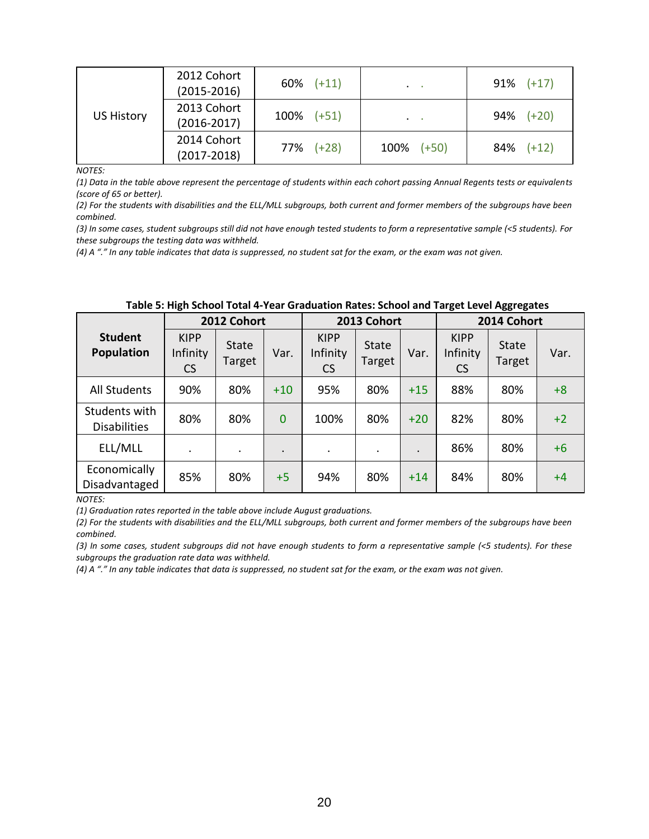| <b>US History</b> | 2012 Cohort<br>$(2015 - 2016)$ | $60\%$ $(+11)$  | $\mathcal{A}^{\mathcal{A}}$ and $\mathcal{A}^{\mathcal{A}}$ | $91\%$ (+17)   |
|-------------------|--------------------------------|-----------------|-------------------------------------------------------------|----------------|
|                   | 2013 Cohort<br>$(2016 - 2017)$ | $100\%$ $(+51)$ | $\mathbf{u} = \mathbf{u} \cdot \mathbf{u}$                  | $94\%$ $(+20)$ |
|                   | 2014 Cohort<br>$(2017 - 2018)$ | $77\%$ $(+28)$  | $100\%$ $(+50)$                                             | $84\%$ $(+12)$ |

*NOTES:*

*(1) Data in the table above represent the percentage of students within each cohort passing Annual Regents tests or equivalents (score of 65 or better).*

*(2) For the students with disabilities and the ELL/MLL subgroups, both current and former members of the subgroups have been combined.*

*(3) In some cases, student subgroups still did not have enough tested students to form a representative sample (<5 students). For these subgroups the testing data was withheld.*

*(4) A "." In any table indicates that data is suppressed, no student sat for the exam, or the exam was not given.*

|                                      | 2012 Cohort                          |                 |                |                                      | 2013 Cohort     |           |                                      | 2014 Cohort     |      |  |
|--------------------------------------|--------------------------------------|-----------------|----------------|--------------------------------------|-----------------|-----------|--------------------------------------|-----------------|------|--|
| <b>Student</b><br><b>Population</b>  | <b>KIPP</b><br>Infinity<br><b>CS</b> | State<br>Target | Var.           | <b>KIPP</b><br>Infinity<br><b>CS</b> | State<br>Target | Var.      | <b>KIPP</b><br>Infinity<br><b>CS</b> | State<br>Target | Var. |  |
| <b>All Students</b>                  | 90%                                  | 80%             | $+10$          | 95%                                  | 80%             | $+15$     | 88%                                  | 80%             | $+8$ |  |
| Students with<br><b>Disabilities</b> | 80%                                  | 80%             | $\overline{0}$ | 100%                                 | 80%             | $+20$     | 82%                                  | 80%             | $+2$ |  |
| ELL/MLL                              |                                      | $\bullet$       |                | ٠                                    | ٠               | $\bullet$ | 86%                                  | 80%             | $+6$ |  |
| Economically<br>Disadvantaged        | 85%                                  | 80%             | $+5$           | 94%                                  | 80%             | $+14$     | 84%                                  | 80%             | $+4$ |  |

| Table 5: High School Total 4-Year Graduation Rates: School and Target Level Aggregates |
|----------------------------------------------------------------------------------------|
|----------------------------------------------------------------------------------------|

*NOTES:*

*(1) Graduation rates reported in the table above include August graduations.*

*(2) For the students with disabilities and the ELL/MLL subgroups, both current and former members of the subgroups have been combined.*

*(3) In some cases, student subgroups did not have enough students to form a representative sample (<5 students). For these subgroups the graduation rate data was withheld.*

*(4) A "." In any table indicates that data is suppressed, no student sat for the exam, or the exam was not given.*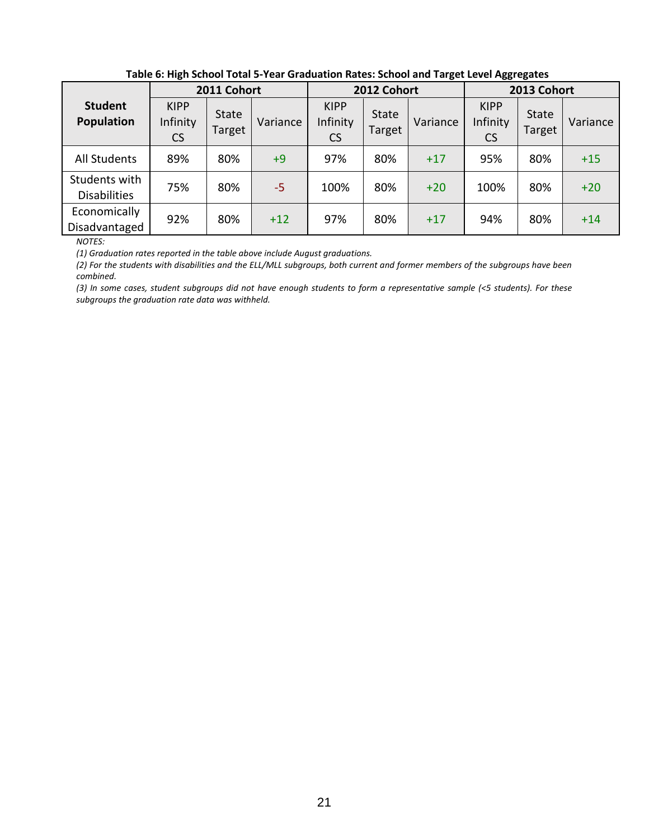| . as to or man our our country from the answers in mateur concernance for a service and the captures |                                      |                        |          |                                      |                        |          |                                      |                        |          |
|------------------------------------------------------------------------------------------------------|--------------------------------------|------------------------|----------|--------------------------------------|------------------------|----------|--------------------------------------|------------------------|----------|
|                                                                                                      | 2011 Cohort                          |                        |          | 2012 Cohort                          |                        |          | 2013 Cohort                          |                        |          |
| <b>Student</b><br><b>Population</b>                                                                  | <b>KIPP</b><br>Infinity<br><b>CS</b> | <b>State</b><br>Target | Variance | <b>KIPP</b><br>Infinity<br><b>CS</b> | <b>State</b><br>Target | Variance | <b>KIPP</b><br>Infinity<br><b>CS</b> | <b>State</b><br>Target | Variance |
| All Students                                                                                         | 89%                                  | 80%                    | $+9$     | 97%                                  | 80%                    | $+17$    | 95%                                  | 80%                    | $+15$    |
| Students with<br><b>Disabilities</b>                                                                 | 75%                                  | 80%                    | -5       | 100%                                 | 80%                    | $+20$    | 100%                                 | 80%                    | $+20$    |
| Economically<br>Disadvantaged                                                                        | 92%                                  | 80%                    | $+12$    | 97%                                  | 80%                    | $+17$    | 94%                                  | 80%                    | $+14$    |

## **Table 6: High School Total 5-Year Graduation Rates: School and Target Level Aggregates**

*NOTES:*

*(1) Graduation rates reported in the table above include August graduations.*

*(2) For the students with disabilities and the ELL/MLL subgroups, both current and former members of the subgroups have been combined.*

*(3) In some cases, student subgroups did not have enough students to form a representative sample (<5 students). For these subgroups the graduation rate data was withheld.*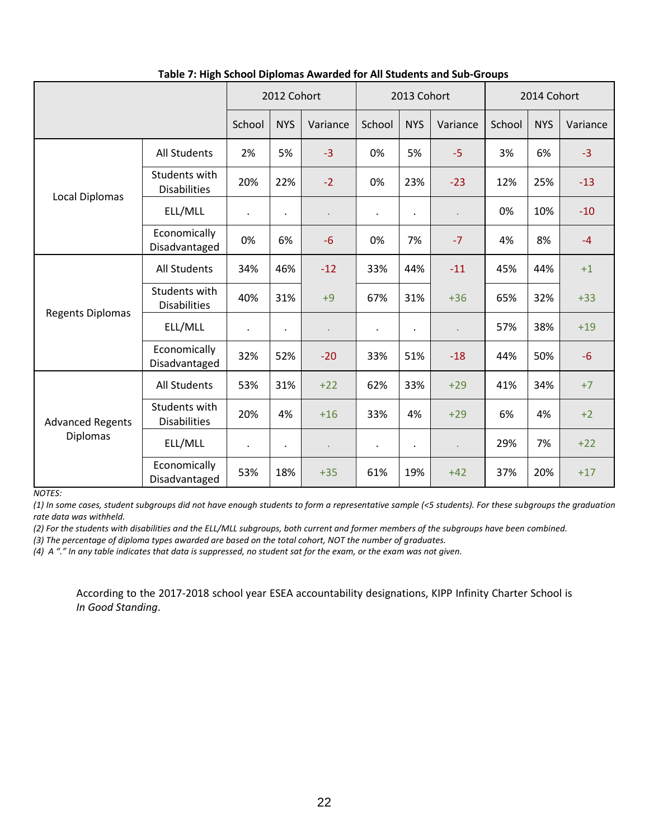|                         |                                      | 2012 Cohort          |                | 2013 Cohort |           |            | 2014 Cohort |        |            |          |
|-------------------------|--------------------------------------|----------------------|----------------|-------------|-----------|------------|-------------|--------|------------|----------|
|                         |                                      | School               | <b>NYS</b>     | Variance    | School    | <b>NYS</b> | Variance    | School | <b>NYS</b> | Variance |
| <b>Local Diplomas</b>   | All Students                         | 2%                   | 5%             | $-3$        | 0%        | 5%         | $-5$        | 3%     | 6%         | $-3$     |
|                         | Students with<br><b>Disabilities</b> | 20%                  | 22%            | $-2$        | 0%        | 23%        | $-23$       | 12%    | 25%        | $-13$    |
|                         | ELL/MLL                              | $\bullet$            | $\blacksquare$ | $\bullet$   | $\bullet$ | $\bullet$  | ä,          | 0%     | 10%        | $-10$    |
|                         | Economically<br>Disadvantaged        | 0%                   | 6%             | $-6$        | 0%        | 7%         | $-7$        | 4%     | 8%         | $-4$     |
|                         | All Students                         | 34%                  | 46%            | $-12$       | 33%       | 44%        | $-11$       | 45%    | 44%        | $+1$     |
|                         | Students with<br><b>Disabilities</b> | 40%                  | 31%            | $+9$        | 67%       | 31%        | $+36$       | 65%    | 32%        | $+33$    |
| <b>Regents Diplomas</b> | ELL/MLL                              | $\cdot$              | $\bullet$      |             | $\bullet$ | $\bullet$  | ä,          | 57%    | 38%        | $+19$    |
|                         | Economically<br>Disadvantaged        | 32%                  | 52%            | $-20$       | 33%       | 51%        | $-18$       | 44%    | 50%        | $-6$     |
|                         | <b>All Students</b>                  | 53%                  | 31%            | $+22$       | 62%       | 33%        | $+29$       | 41%    | 34%        | $+7$     |
| <b>Advanced Regents</b> | Students with<br><b>Disabilities</b> | 20%                  | 4%             | $+16$       | 33%       | 4%         | $+29$       | 6%     | 4%         | $+2$     |
| <b>Diplomas</b>         | ELL/MLL                              | $\ddot{\phantom{0}}$ | $\bullet$      | $\epsilon$  | $\bullet$ | $\bullet$  | ä,          | 29%    | 7%         | $+22$    |
|                         | Economically<br>Disadvantaged        | 53%                  | 18%            | $+35$       | 61%       | 19%        | $+42$       | 37%    | 20%        | $+17$    |

 **Table 7: High School Diplomas Awarded for All Students and Sub-Groups**

*NOTES:*

*(1) In some cases, student subgroups did not have enough students to form a representative sample (<5 students). For these subgroups the graduation rate data was withheld.*

*(2) For the students with disabilities and the ELL/MLL subgroups, both current and former members of the subgroups have been combined.*

*(3) The percentage of diploma types awarded are based on the total cohort, NOT the number of graduates.*

*(4) A "." In any table indicates that data is suppressed, no student sat for the exam, or the exam was not given.*

According to the 2017-2018 school year ESEA accountability designations, KIPP Infinity Charter School is *In Good Standing*.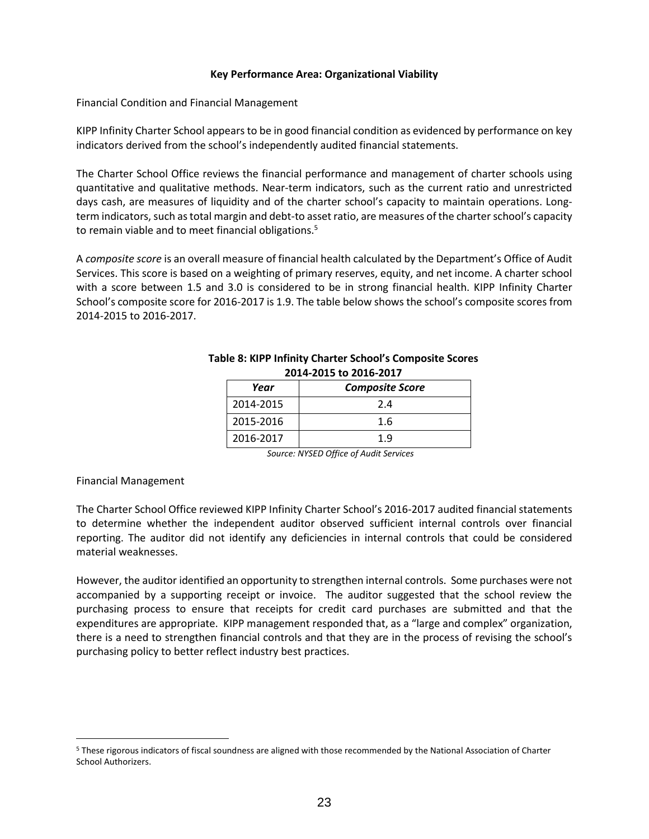#### **Key Performance Area: Organizational Viability**

Financial Condition and Financial Management

KIPP Infinity Charter School appears to be in good financial condition as evidenced by performance on key indicators derived from the school's independently audited financial statements.

The Charter School Office reviews the financial performance and management of charter schools using quantitative and qualitative methods. Near‐term indicators, such as the current ratio and unrestricted days cash, are measures of liquidity and of the charter school's capacity to maintain operations. Long‐ term indicators, such as total margin and debt‐to asset ratio, are measures of the charter school's capacity to remain viable and to meet financial obligations.<sup>5</sup>

A *composite score* is an overall measure of financial health calculated by the Department's Office of Audit Services. This score is based on a weighting of primary reserves, equity, and net income. A charter school with a score between 1.5 and 3.0 is considered to be in strong financial health. KIPP Infinity Charter School's composite score for 2016-2017 is 1.9. The table below shows the school's composite scores from 2014-2015 to 2016-2017.

| ---- -- --- - - |                        |  |  |  |  |  |
|-----------------|------------------------|--|--|--|--|--|
| Year            | <b>Composite Score</b> |  |  |  |  |  |
| 2014-2015       | 2.4                    |  |  |  |  |  |
| 2015-2016       | 1.6                    |  |  |  |  |  |
| 2016-2017       | 1.9                    |  |  |  |  |  |

#### **Table 8: KIPP Infinity Charter School's Composite Scores 2014-2015 to 2016-2017**

*Source: NYSED Office of Audit Services*

#### Financial Management

 $\overline{a}$ 

The Charter School Office reviewed KIPP Infinity Charter School's 2016-2017 audited financial statements to determine whether the independent auditor observed sufficient internal controls over financial reporting. The auditor did not identify any deficiencies in internal controls that could be considered material weaknesses.

However, the auditor identified an opportunity to strengthen internal controls. Some purchases were not accompanied by a supporting receipt or invoice. The auditor suggested that the school review the purchasing process to ensure that receipts for credit card purchases are submitted and that the expenditures are appropriate. KIPP management responded that, as a "large and complex" organization, there is a need to strengthen financial controls and that they are in the process of revising the school's purchasing policy to better reflect industry best practices.

<sup>5</sup> These rigorous indicators of fiscal soundness are aligned with those recommended by the National Association of Charter School Authorizers.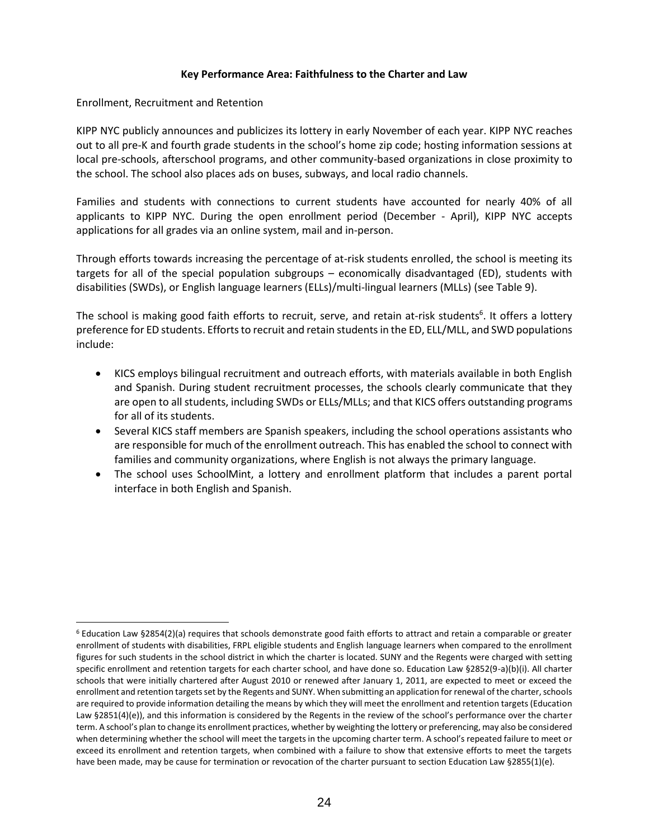## **Key Performance Area: Faithfulness to the Charter and Law**

Enrollment, Recruitment and Retention

KIPP NYC publicly announces and publicizes its lottery in early November of each year. KIPP NYC reaches out to all pre-K and fourth grade students in the school's home zip code; hosting information sessions at local pre-schools, afterschool programs, and other community-based organizations in close proximity to the school. The school also places ads on buses, subways, and local radio channels.

Families and students with connections to current students have accounted for nearly 40% of all applicants to KIPP NYC. During the open enrollment period (December - April), KIPP NYC accepts applications for all grades via an online system, mail and in-person.

Through efforts towards increasing the percentage of at-risk students enrolled, the school is meeting its targets for all of the special population subgroups – economically disadvantaged (ED), students with disabilities (SWDs), or English language learners (ELLs)/multi-lingual learners (MLLs) (see Table 9).

The school is making good faith efforts to recruit, serve, and retain at-risk students<sup>6</sup>. It offers a lottery preference for ED students. Efforts to recruit and retain students in the ED, ELL/MLL, and SWD populations include:

- KICS employs bilingual recruitment and outreach efforts, with materials available in both English and Spanish. During student recruitment processes, the schools clearly communicate that they are open to all students, including SWDs or ELLs/MLLs; and that KICS offers outstanding programs for all of its students.
- Several KICS staff members are Spanish speakers, including the school operations assistants who are responsible for much of the enrollment outreach. This has enabled the school to connect with families and community organizations, where English is not always the primary language.
- The school uses SchoolMint, a lottery and enrollment platform that includes a parent portal interface in both English and Spanish.

 $\overline{a}$ <sup>6</sup> Education Law §2854(2)(a) requires that schools demonstrate good faith efforts to attract and retain a comparable or greater enrollment of students with disabilities, FRPL eligible students and English language learners when compared to the enrollment figures for such students in the school district in which the charter is located. SUNY and the Regents were charged with setting specific enrollment and retention targets for each charter school, and have done so. Education Law §2852(9-a)(b)(i). All charter schools that were initially chartered after August 2010 or renewed after January 1, 2011, are expected to meet or exceed the enrollment and retention targets set by the Regents and SUNY. When submitting an application for renewal of the charter, schools are required to provide information detailing the means by which they will meet the enrollment and retention targets (Education Law §2851(4)(e)), and this information is considered by the Regents in the review of the school's performance over the charter term. A school's plan to change its enrollment practices, whether by weighting the lottery or preferencing, may also be considered when determining whether the school will meet the targets in the upcoming charter term. A school's repeated failure to meet or exceed its enrollment and retention targets, when combined with a failure to show that extensive efforts to meet the targets have been made, may be cause for termination or revocation of the charter pursuant to section Education Law §2855(1)(e).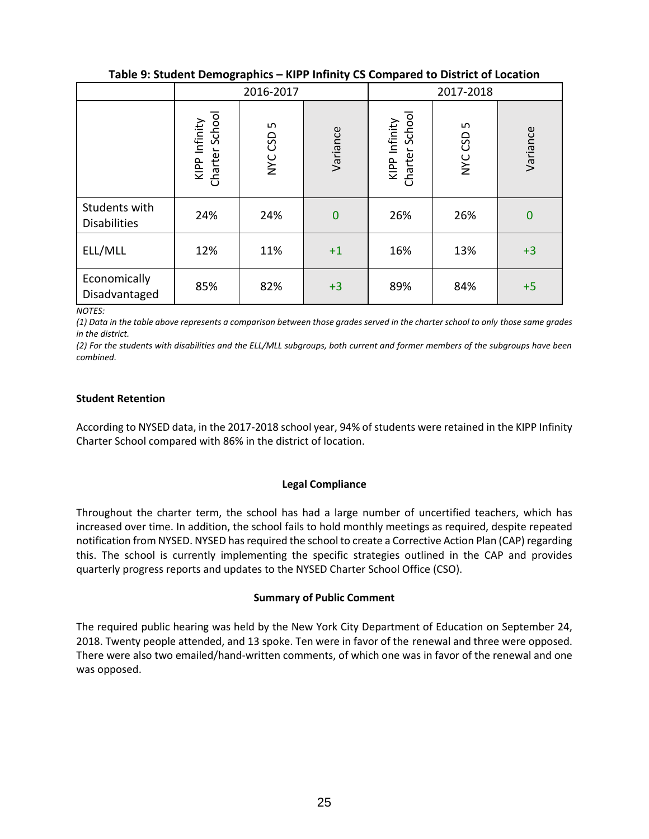|                                      |                                 | 2016-2017    |              | 2017-2018                       |                |          |  |
|--------------------------------------|---------------------------------|--------------|--------------|---------------------------------|----------------|----------|--|
|                                      | KIPP Infinity<br>Charter School | w<br>NYC CSD | Variance     | KIPP Infinity<br>Charter School | LO.<br>NYC CSD | Variance |  |
| Students with<br><b>Disabilities</b> | 24%                             | 24%          | $\mathbf{0}$ | 26%                             | 26%            | $\bf{0}$ |  |
| ELL/MLL                              | 12%                             | 11%          | $+1$         | 16%                             | 13%            | $+3$     |  |
| Economically<br>Disadvantaged        | 85%                             | 82%          | $+3$         | 89%                             | 84%            | $+5$     |  |

**Table 9: Student Demographics – KIPP Infinity CS Compared to District of Location**

*NOTES:*

*(1) Data in the table above represents a comparison between those grades served in the charter school to only those same grades in the district.*

*(2) For the students with disabilities and the ELL/MLL subgroups, both current and former members of the subgroups have been combined.*

## **Student Retention**

According to NYSED data, in the 2017-2018 school year, 94% of students were retained in the KIPP Infinity Charter School compared with 86% in the district of location.

## **Legal Compliance**

Throughout the charter term, the school has had a large number of uncertified teachers, which has increased over time. In addition, the school fails to hold monthly meetings as required, despite repeated notification from NYSED. NYSED has required the school to create a Corrective Action Plan (CAP) regarding this. The school is currently implementing the specific strategies outlined in the CAP and provides quarterly progress reports and updates to the NYSED Charter School Office (CSO).

## **Summary of Public Comment**

The required public hearing was held by the New York City Department of Education on September 24, 2018. Twenty people attended, and 13 spoke. Ten were in favor of the renewal and three were opposed. There were also two emailed/hand-written comments, of which one was in favor of the renewal and one was opposed.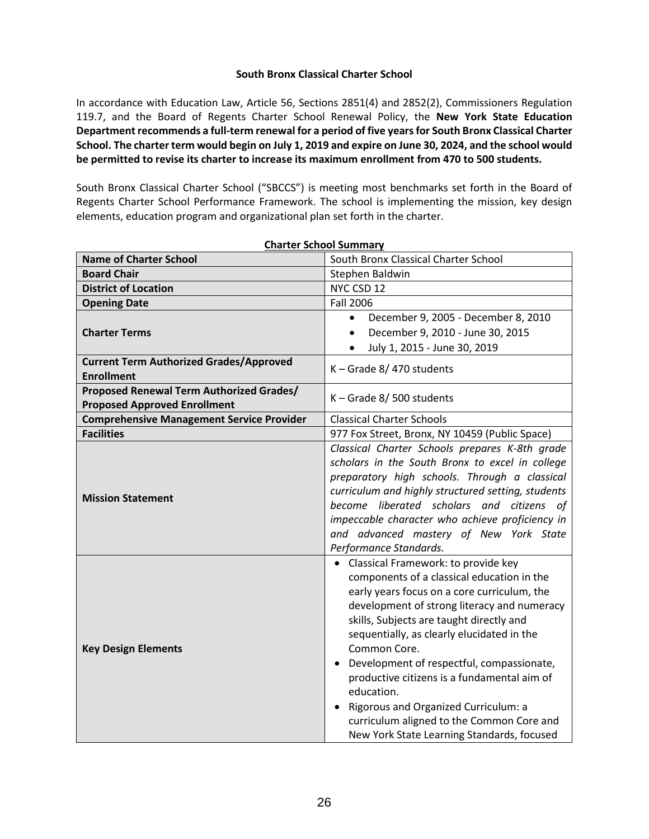## **South Bronx Classical Charter School**

In accordance with Education Law, Article 56, Sections 2851(4) and 2852(2), Commissioners Regulation 119.7, and the Board of Regents Charter School Renewal Policy, the **New York State Education Department recommends a full-term renewal for a period of five years for South Bronx Classical Charter School. The charter term would begin on July 1, 2019 and expire on June 30, 2024, and the school would be permitted to revise its charter to increase its maximum enrollment from 470 to 500 students.**

South Bronx Classical Charter School ("SBCCS") is meeting most benchmarks set forth in the Board of Regents Charter School Performance Framework. The school is implementing the mission, key design elements, education program and organizational plan set forth in the charter.

| <b>Charter School Summary</b>                                                   |                                                                                                                                                                                                                                                                                                                                                                                                                                                                                                                                          |  |  |  |
|---------------------------------------------------------------------------------|------------------------------------------------------------------------------------------------------------------------------------------------------------------------------------------------------------------------------------------------------------------------------------------------------------------------------------------------------------------------------------------------------------------------------------------------------------------------------------------------------------------------------------------|--|--|--|
| <b>Name of Charter School</b>                                                   | South Bronx Classical Charter School                                                                                                                                                                                                                                                                                                                                                                                                                                                                                                     |  |  |  |
| <b>Board Chair</b>                                                              | Stephen Baldwin                                                                                                                                                                                                                                                                                                                                                                                                                                                                                                                          |  |  |  |
| <b>District of Location</b>                                                     | NYC CSD 12                                                                                                                                                                                                                                                                                                                                                                                                                                                                                                                               |  |  |  |
| <b>Opening Date</b>                                                             | <b>Fall 2006</b>                                                                                                                                                                                                                                                                                                                                                                                                                                                                                                                         |  |  |  |
|                                                                                 | December 9, 2005 - December 8, 2010<br>$\bullet$                                                                                                                                                                                                                                                                                                                                                                                                                                                                                         |  |  |  |
| <b>Charter Terms</b>                                                            | December 9, 2010 - June 30, 2015<br>$\bullet$                                                                                                                                                                                                                                                                                                                                                                                                                                                                                            |  |  |  |
|                                                                                 | July 1, 2015 - June 30, 2019                                                                                                                                                                                                                                                                                                                                                                                                                                                                                                             |  |  |  |
| <b>Current Term Authorized Grades/Approved</b><br><b>Enrollment</b>             | $K -$ Grade 8/470 students                                                                                                                                                                                                                                                                                                                                                                                                                                                                                                               |  |  |  |
| Proposed Renewal Term Authorized Grades/<br><b>Proposed Approved Enrollment</b> | $K -$ Grade 8/500 students                                                                                                                                                                                                                                                                                                                                                                                                                                                                                                               |  |  |  |
| <b>Comprehensive Management Service Provider</b>                                | <b>Classical Charter Schools</b>                                                                                                                                                                                                                                                                                                                                                                                                                                                                                                         |  |  |  |
| <b>Facilities</b>                                                               | 977 Fox Street, Bronx, NY 10459 (Public Space)                                                                                                                                                                                                                                                                                                                                                                                                                                                                                           |  |  |  |
| <b>Mission Statement</b>                                                        | Classical Charter Schools prepares K-8th grade<br>scholars in the South Bronx to excel in college<br>preparatory high schools. Through a classical<br>curriculum and highly structured setting, students<br>become liberated scholars and citizens of<br>impeccable character who achieve proficiency in<br>and advanced mastery of New York State<br>Performance Standards.                                                                                                                                                             |  |  |  |
| <b>Key Design Elements</b>                                                      | • Classical Framework: to provide key<br>components of a classical education in the<br>early years focus on a core curriculum, the<br>development of strong literacy and numeracy<br>skills, Subjects are taught directly and<br>sequentially, as clearly elucidated in the<br>Common Core.<br>Development of respectful, compassionate,<br>productive citizens is a fundamental aim of<br>education.<br>Rigorous and Organized Curriculum: a<br>curriculum aligned to the Common Core and<br>New York State Learning Standards, focused |  |  |  |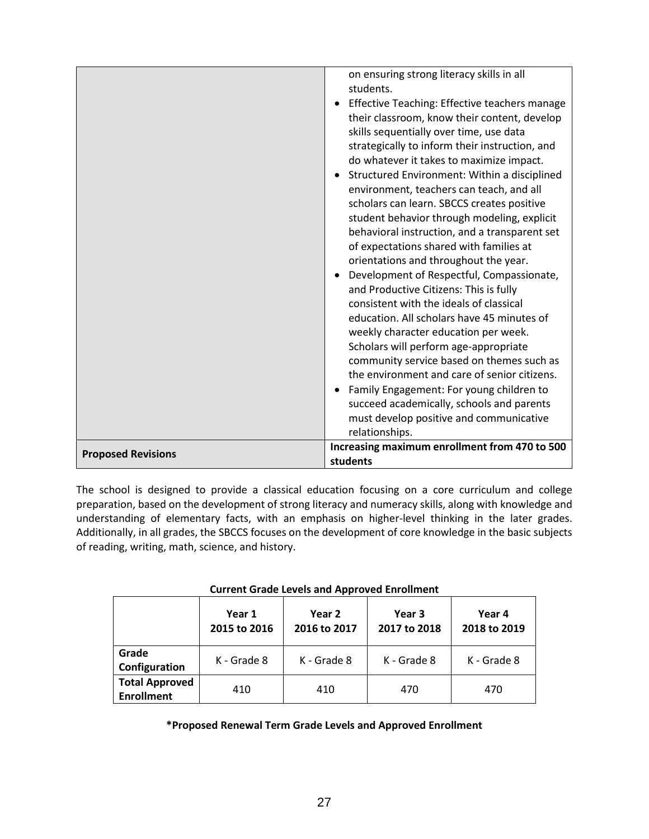|                           | orientations and throughout the year.<br>Development of Respectful, Compassionate,                                              |
|---------------------------|---------------------------------------------------------------------------------------------------------------------------------|
|                           |                                                                                                                                 |
|                           | and Productive Citizens: This is fully<br>consistent with the ideals of classical<br>education. All scholars have 45 minutes of |
|                           | weekly character education per week.                                                                                            |
|                           | Scholars will perform age-appropriate<br>community service based on themes such as                                              |
|                           | the environment and care of senior citizens.<br>Family Engagement: For young children to                                        |
|                           | succeed academically, schools and parents<br>must develop positive and communicative<br>relationships.                          |
| <b>Proposed Revisions</b> | Increasing maximum enrollment from 470 to 500<br>students                                                                       |

The school is designed to provide a classical education focusing on a core curriculum and college preparation, based on the development of strong literacy and numeracy skills, along with knowledge and understanding of elementary facts, with an emphasis on higher-level thinking in the later grades. Additionally, in all grades, the SBCCS focuses on the development of core knowledge in the basic subjects of reading, writing, math, science, and history.

|                                            | Current Graue Levels and Approved Lin Uninent |                        |                        |                        |  |  |  |
|--------------------------------------------|-----------------------------------------------|------------------------|------------------------|------------------------|--|--|--|
|                                            | Year 1<br>2015 to 2016                        | Year 2<br>2016 to 2017 | Year 3<br>2017 to 2018 | Year 4<br>2018 to 2019 |  |  |  |
| Grade<br>Configuration                     | K - Grade 8                                   | K - Grade 8            | K - Grade 8            | K - Grade 8            |  |  |  |
| <b>Total Approved</b><br><b>Enrollment</b> | 410                                           | 410                    | 470                    | 470                    |  |  |  |

# **Current Grade Levels and Approved Enrollment**

## **\*Proposed Renewal Term Grade Levels and Approved Enrollment**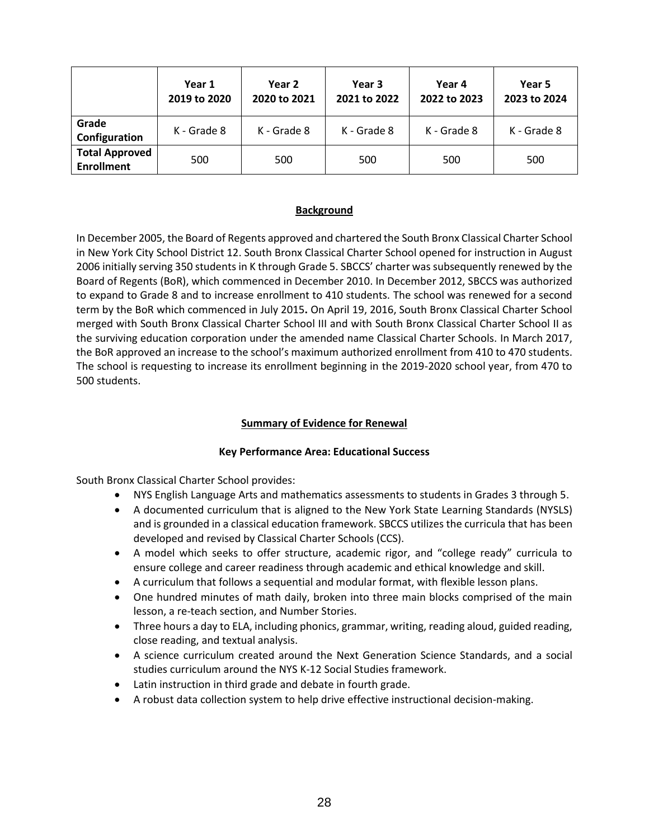|                                            | Year 1<br>2019 to 2020 | Year 2<br>2020 to 2021 | Year 3<br>2021 to 2022 | Year 4<br>2022 to 2023 | Year 5<br>2023 to 2024 |
|--------------------------------------------|------------------------|------------------------|------------------------|------------------------|------------------------|
| Grade<br>Configuration                     | K - Grade 8            | K - Grade 8            | K - Grade 8            | K - Grade 8            | K - Grade 8            |
| <b>Total Approved</b><br><b>Enrollment</b> | 500                    | 500                    | 500                    | 500                    | 500                    |

# **Background**

In December 2005, the Board of Regents approved and chartered the South Bronx Classical Charter School in New York City School District 12. South Bronx Classical Charter School opened for instruction in August 2006 initially serving 350 students in K through Grade 5. SBCCS' charter was subsequently renewed by the Board of Regents (BoR), which commenced in December 2010. In December 2012, SBCCS was authorized to expand to Grade 8 and to increase enrollment to 410 students. The school was renewed for a second term by the BoR which commenced in July 2015**.** On April 19, 2016, South Bronx Classical Charter School merged with South Bronx Classical Charter School III and with South Bronx Classical Charter School II as the surviving education corporation under the amended name Classical Charter Schools. In March 2017, the BoR approved an increase to the school's maximum authorized enrollment from 410 to 470 students. The school is requesting to increase its enrollment beginning in the 2019-2020 school year, from 470 to 500 students.

# **Summary of Evidence for Renewal**

## **Key Performance Area: Educational Success**

South Bronx Classical Charter School provides:

- NYS English Language Arts and mathematics assessments to students in Grades 3 through 5.
- A documented curriculum that is aligned to the New York State Learning Standards (NYSLS) and is grounded in a classical education framework. SBCCS utilizes the curricula that has been developed and revised by Classical Charter Schools (CCS).
- A model which seeks to offer structure, academic rigor, and "college ready" curricula to ensure college and career readiness through academic and ethical knowledge and skill.
- A curriculum that follows a sequential and modular format, with flexible lesson plans.
- One hundred minutes of math daily, broken into three main blocks comprised of the main lesson, a re-teach section, and Number Stories.
- Three hours a day to ELA, including phonics, grammar, writing, reading aloud, guided reading, close reading, and textual analysis.
- A science curriculum created around the Next Generation Science Standards, and a social studies curriculum around the NYS K-12 Social Studies framework.
- Latin instruction in third grade and debate in fourth grade.
- A robust data collection system to help drive effective instructional decision-making.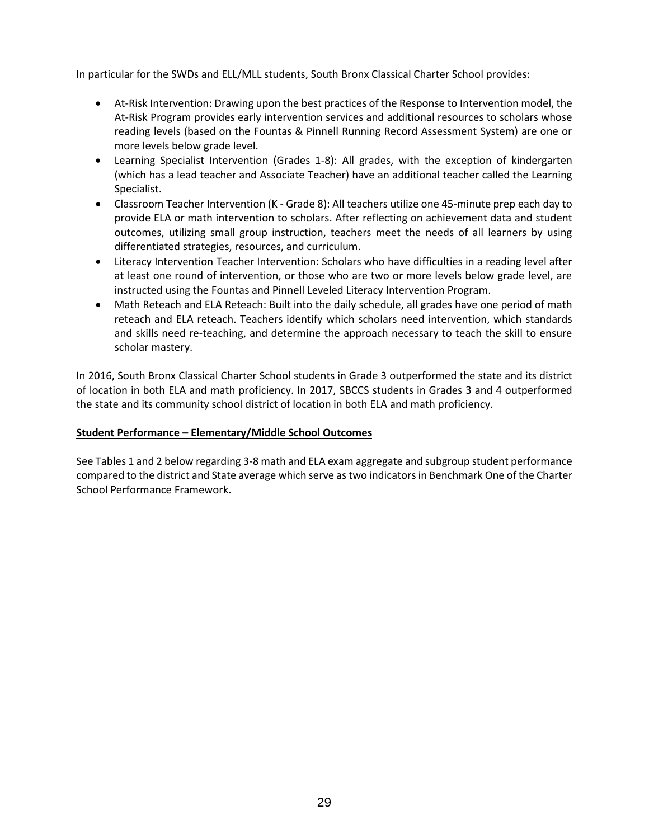In particular for the SWDs and ELL/MLL students, South Bronx Classical Charter School provides:

- At-Risk Intervention: Drawing upon the best practices of the Response to Intervention model, the At-Risk Program provides early intervention services and additional resources to scholars whose reading levels (based on the Fountas & Pinnell Running Record Assessment System) are one or more levels below grade level.
- Learning Specialist Intervention (Grades 1-8): All grades, with the exception of kindergarten (which has a lead teacher and Associate Teacher) have an additional teacher called the Learning Specialist.
- Classroom Teacher Intervention (K Grade 8): All teachers utilize one 45-minute prep each day to provide ELA or math intervention to scholars. After reflecting on achievement data and student outcomes, utilizing small group instruction, teachers meet the needs of all learners by using differentiated strategies, resources, and curriculum.
- Literacy Intervention Teacher Intervention: Scholars who have difficulties in a reading level after at least one round of intervention, or those who are two or more levels below grade level, are instructed using the Fountas and Pinnell Leveled Literacy Intervention Program.
- Math Reteach and ELA Reteach: Built into the daily schedule, all grades have one period of math reteach and ELA reteach. Teachers identify which scholars need intervention, which standards and skills need re-teaching, and determine the approach necessary to teach the skill to ensure scholar mastery.

In 2016, South Bronx Classical Charter School students in Grade 3 outperformed the state and its district of location in both ELA and math proficiency. In 2017, SBCCS students in Grades 3 and 4 outperformed the state and its community school district of location in both ELA and math proficiency.

## **Student Performance – Elementary/Middle School Outcomes**

See Tables 1 and 2 below regarding 3-8 math and ELA exam aggregate and subgroup student performance compared to the district and State average which serve as two indicators in Benchmark One of the Charter School Performance Framework.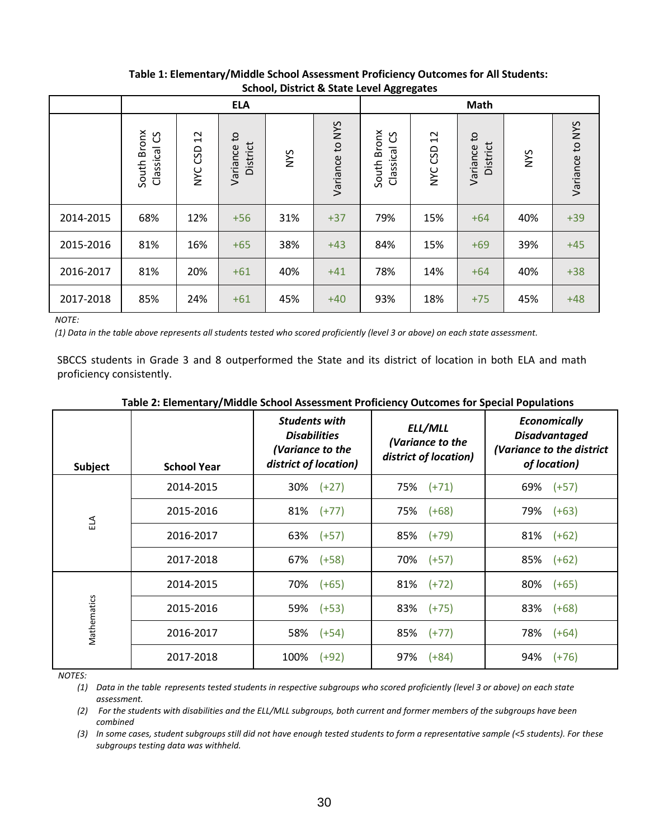|           |                                      |                                     |                                      | Math       |                    |                                                |               |                                        |     |                 |
|-----------|--------------------------------------|-------------------------------------|--------------------------------------|------------|--------------------|------------------------------------------------|---------------|----------------------------------------|-----|-----------------|
|           | South Bronx<br><u>ვ</u><br>Classical | $\overline{c}$<br>GSD<br><b>SAN</b> | $\mathbf{c}$<br>District<br>Variance | <b>NYS</b> | to NYS<br>Variance | <b>Bronx</b><br><u>ვ</u><br>Classical<br>South | 12<br>NYC CSD | $\mathsf{c}_1$<br>District<br>Variance | NYS | Variance to NYS |
| 2014-2015 | 68%                                  | 12%                                 | $+56$                                | 31%        | $+37$              | 79%                                            | 15%           | $+64$                                  | 40% | $+39$           |
| 2015-2016 | 81%                                  | 16%                                 | $+65$                                | 38%        | $+43$              | 84%                                            | 15%           | $+69$                                  | 39% | $+45$           |
| 2016-2017 | 81%                                  | 20%                                 | $+61$                                | 40%        | $+41$              | 78%                                            | 14%           | $+64$                                  | 40% | $+38$           |
| 2017-2018 | 85%                                  | 24%                                 | $+61$                                | 45%        | $+40$              | 93%                                            | 18%           | $+75$                                  | 45% | $+48$           |

# **Table 1: Elementary/Middle School Assessment Proficiency Outcomes for All Students: School, District & State Level Aggregates**

*NOTE:*

*(1) Data in the table above represents all students tested who scored proficiently (level 3 or above) on each state assessment.*

SBCCS students in Grade 3 and 8 outperformed the State and its district of location in both ELA and math proficiency consistently.

| Subject     | <b>School Year</b> | <b>Students with</b><br><b>Disabilities</b><br>(Variance to the<br>district of location) | ELL/MLL<br>(Variance to the<br>district of location) | <b>Economically</b><br><b>Disadvantaged</b><br>(Variance to the district<br>of location) |
|-------------|--------------------|------------------------------------------------------------------------------------------|------------------------------------------------------|------------------------------------------------------------------------------------------|
|             | 2014-2015          | 30%<br>$(+27)$                                                                           | 75% (+71)                                            | 69%<br>$(+57)$                                                                           |
| ELA         | 2015-2016          | 81%<br>$(+77)$                                                                           | 75%<br>$(+68)$                                       | 79%<br>$(+63)$                                                                           |
|             | 2016-2017          | 63%<br>$(+57)$                                                                           | 85% (+79)                                            | 81%<br>$(+62)$                                                                           |
|             | 2017-2018          | 67%<br>$(+58)$                                                                           | 70% (+57)                                            | 85%<br>$(+62)$                                                                           |
|             | 2014-2015          | 70%<br>$(+65)$                                                                           | $81\%$ (+72)                                         | 80%<br>$(+65)$                                                                           |
|             | 2015-2016          | 59%<br>$(+53)$                                                                           | 83% (+75)                                            | 83%<br>$(+68)$                                                                           |
| Mathematics | 2016-2017          | $(+54)$<br>58%                                                                           | 85% (+77)                                            | 78%<br>$(+64)$                                                                           |
|             | 2017-2018          | 100%<br>$(+92)$                                                                          | 97% (+84)                                            | 94%<br>$(+76)$                                                                           |

### **Table 2: Elementary/Middle School Assessment Proficiency Outcomes for Special Populations**

*NOTES:*

*(1) Data in the table represents tested students in respective subgroups who scored proficiently (level 3 or above) on each state assessment.*

*(2) For the students with disabilities and the ELL/MLL subgroups, both current and former members of the subgroups have been combined*

*(3) In some cases, student subgroups still did not have enough tested students to form a representative sample (<5 students). For these subgroups testing data was withheld.*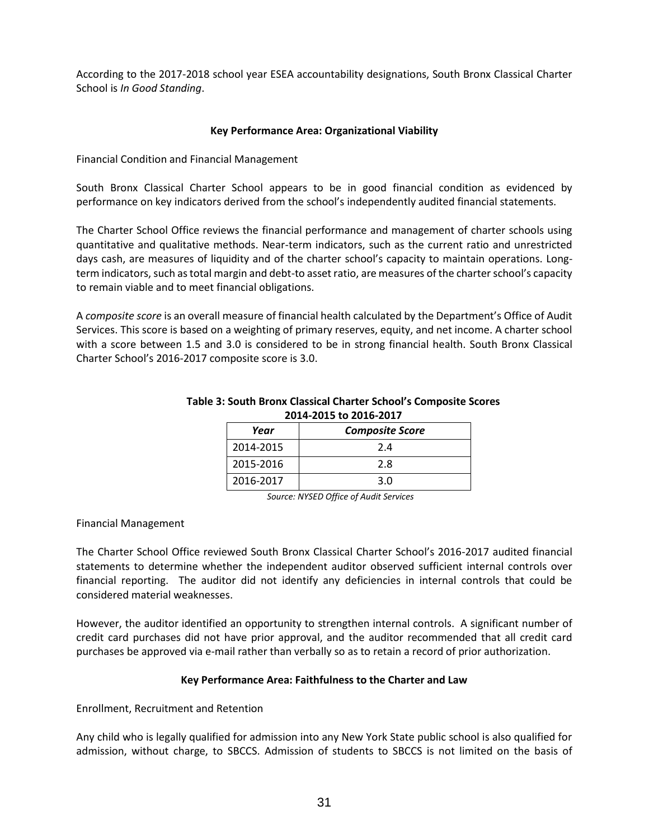According to the 2017-2018 school year ESEA accountability designations, South Bronx Classical Charter School is *In Good Standing*.

## **Key Performance Area: Organizational Viability**

Financial Condition and Financial Management

South Bronx Classical Charter School appears to be in good financial condition as evidenced by performance on key indicators derived from the school's independently audited financial statements.

The Charter School Office reviews the financial performance and management of charter schools using quantitative and qualitative methods. Near‐term indicators, such as the current ratio and unrestricted days cash, are measures of liquidity and of the charter school's capacity to maintain operations. Long‐ term indicators, such as total margin and debt‐to asset ratio, are measures of the charter school's capacity to remain viable and to meet financial obligations.

A *composite score* is an overall measure of financial health calculated by the Department's Office of Audit Services. This score is based on a weighting of primary reserves, equity, and net income. A charter school with a score between 1.5 and 3.0 is considered to be in strong financial health. South Bronx Classical Charter School's 2016-2017 composite score is 3.0.

| LVIT LVIJ LV LVIV LVI/ |                        |  |  |  |  |  |
|------------------------|------------------------|--|--|--|--|--|
| Year                   | <b>Composite Score</b> |  |  |  |  |  |
| 2014-2015              | 2.4                    |  |  |  |  |  |
| 2015-2016              | 2.8                    |  |  |  |  |  |
| 2016-2017              | 3.0                    |  |  |  |  |  |

## **Table 3: South Bronx Classical Charter School's Composite Scores 2014-2015 to 2016-2017**

*Source: NYSED Office of Audit Services*

## Financial Management

The Charter School Office reviewed South Bronx Classical Charter School's 2016-2017 audited financial statements to determine whether the independent auditor observed sufficient internal controls over financial reporting. The auditor did not identify any deficiencies in internal controls that could be considered material weaknesses.

However, the auditor identified an opportunity to strengthen internal controls. A significant number of credit card purchases did not have prior approval, and the auditor recommended that all credit card purchases be approved via e-mail rather than verbally so as to retain a record of prior authorization.

## **Key Performance Area: Faithfulness to the Charter and Law**

Enrollment, Recruitment and Retention

Any child who is legally qualified for admission into any New York State public school is also qualified for admission, without charge, to SBCCS. Admission of students to SBCCS is not limited on the basis of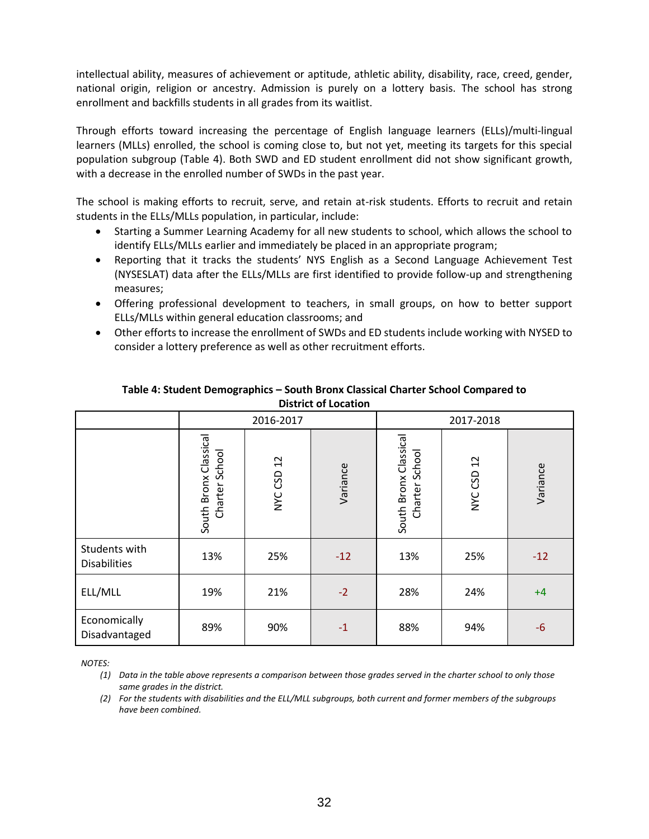intellectual ability, measures of achievement or aptitude, athletic ability, disability, race, creed, gender, national origin, religion or ancestry. Admission is purely on a lottery basis. The school has strong enrollment and backfills students in all grades from its waitlist.

Through efforts toward increasing the percentage of English language learners (ELLs)/multi-lingual learners (MLLs) enrolled, the school is coming close to, but not yet, meeting its targets for this special population subgroup (Table 4). Both SWD and ED student enrollment did not show significant growth, with a decrease in the enrolled number of SWDs in the past year.

The school is making efforts to recruit, serve, and retain at-risk students. Efforts to recruit and retain students in the ELLs/MLLs population, in particular, include:

- Starting a Summer Learning Academy for all new students to school, which allows the school to identify ELLs/MLLs earlier and immediately be placed in an appropriate program;
- Reporting that it tracks the students' NYS English as a Second Language Achievement Test (NYSESLAT) data after the ELLs/MLLs are first identified to provide follow-up and strengthening measures;
- Offering professional development to teachers, in small groups, on how to better support ELLs/MLLs within general education classrooms; and
- Other efforts to increase the enrollment of SWDs and ED students include working with NYSED to consider a lottery preference as well as other recruitment efforts.

|                                      |                                            | 2016-2017     |          | 2017-2018                               |            |          |  |
|--------------------------------------|--------------------------------------------|---------------|----------|-----------------------------------------|------------|----------|--|
|                                      | Classical<br>Charter School<br>South Bronx | 12<br>NYC CSD | Variance | South Bronx Classical<br>Charter School | NYC CSD 12 | Variance |  |
| Students with<br><b>Disabilities</b> | 13%                                        | 25%           | $-12$    | 13%                                     | 25%        | $-12$    |  |
| ELL/MLL                              | 19%                                        | 21%           | $-2$     | 28%                                     | 24%        | $+4$     |  |
| Economically<br>Disadvantaged        | 89%                                        | 90%           | $-1$     | 88%                                     | 94%        | $-6$     |  |

## **Table 4: Student Demographics – South Bronx Classical Charter School Compared to District of Location**

*NOTES:*

*(1) Data in the table above represents a comparison between those grades served in the charter school to only those same grades in the district.*

*(2) For the students with disabilities and the ELL/MLL subgroups, both current and former members of the subgroups have been combined.*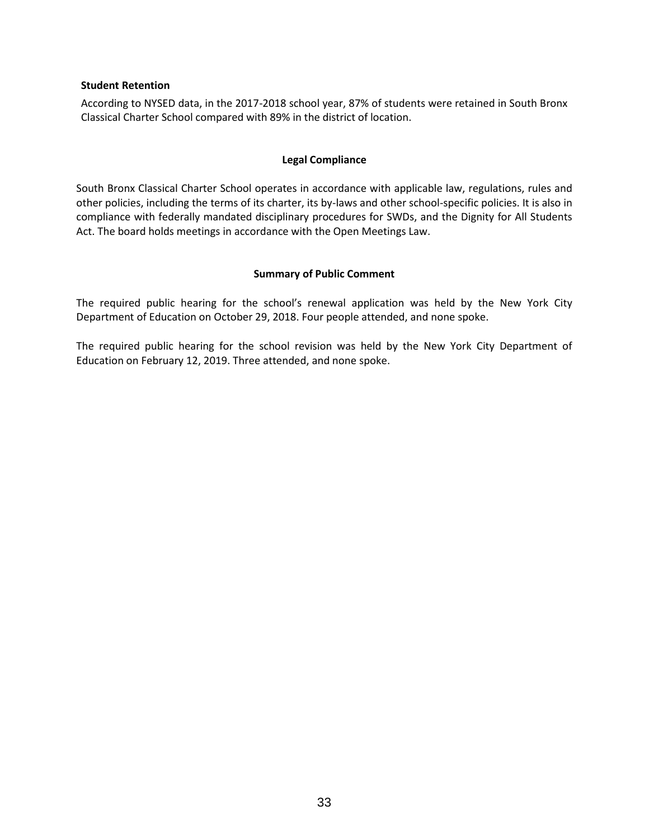#### **Student Retention**

According to NYSED data, in the 2017-2018 school year, 87% of students were retained in South Bronx Classical Charter School compared with 89% in the district of location.

#### **Legal Compliance**

South Bronx Classical Charter School operates in accordance with applicable law, regulations, rules and other policies, including the terms of its charter, its by-laws and other school-specific policies. It is also in compliance with federally mandated disciplinary procedures for SWDs, and the Dignity for All Students Act. The board holds meetings in accordance with the Open Meetings Law.

#### **Summary of Public Comment**

The required public hearing for the school's renewal application was held by the New York City Department of Education on October 29, 2018. Four people attended, and none spoke.

The required public hearing for the school revision was held by the New York City Department of Education on February 12, 2019. Three attended, and none spoke.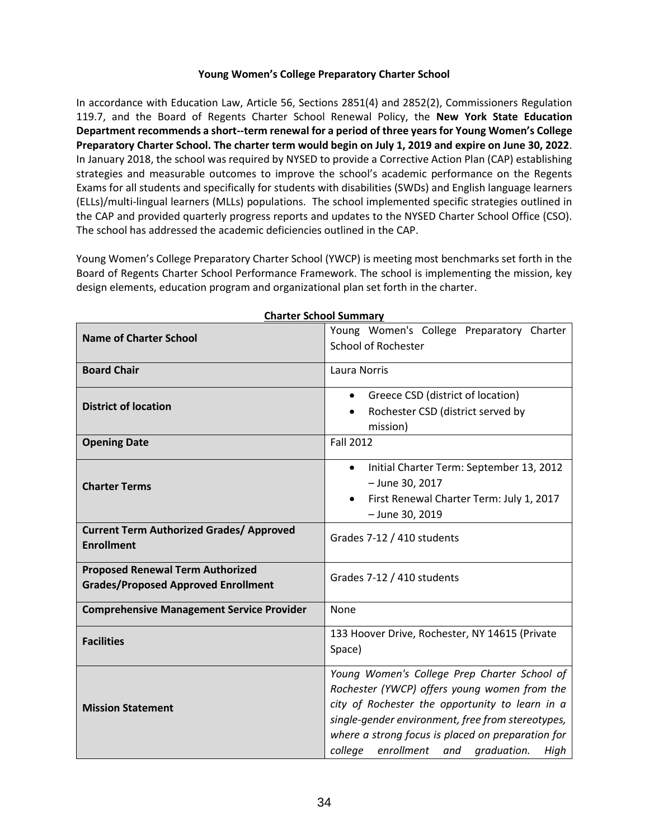### **Young Women's College Preparatory Charter School**

In accordance with Education Law, Article 56, Sections 2851(4) and 2852(2), Commissioners Regulation 119.7, and the Board of Regents Charter School Renewal Policy, the **New York State Education Department recommends a short--term renewal for a period of three years for Young Women's College Preparatory Charter School. The charter term would begin on July 1, 2019 and expire on June 30, 2022**. In January 2018, the school was required by NYSED to provide a Corrective Action Plan (CAP) establishing strategies and measurable outcomes to improve the school's academic performance on the Regents Exams for all students and specifically for students with disabilities (SWDs) and English language learners (ELLs)/multi-lingual learners (MLLs) populations. The school implemented specific strategies outlined in the CAP and provided quarterly progress reports and updates to the NYSED Charter School Office (CSO). The school has addressed the academic deficiencies outlined in the CAP.

Young Women's College Preparatory Charter School (YWCP) is meeting most benchmarks set forth in the Board of Regents Charter School Performance Framework. The school is implementing the mission, key design elements, education program and organizational plan set forth in the charter.

|                                                                                       | snarter Jenoor Jummury                                                                                                                                                                                                                                                                                        |  |  |  |  |
|---------------------------------------------------------------------------------------|---------------------------------------------------------------------------------------------------------------------------------------------------------------------------------------------------------------------------------------------------------------------------------------------------------------|--|--|--|--|
| <b>Name of Charter School</b>                                                         | Young Women's College Preparatory Charter<br><b>School of Rochester</b>                                                                                                                                                                                                                                       |  |  |  |  |
| <b>Board Chair</b>                                                                    | Laura Norris                                                                                                                                                                                                                                                                                                  |  |  |  |  |
| <b>District of location</b>                                                           | Greece CSD (district of location)<br>$\bullet$<br>Rochester CSD (district served by<br>mission)                                                                                                                                                                                                               |  |  |  |  |
| <b>Opening Date</b>                                                                   | <b>Fall 2012</b>                                                                                                                                                                                                                                                                                              |  |  |  |  |
| <b>Charter Terms</b>                                                                  | Initial Charter Term: September 13, 2012<br>$\bullet$<br>- June 30, 2017<br>First Renewal Charter Term: July 1, 2017<br>$\bullet$<br>- June 30, 2019                                                                                                                                                          |  |  |  |  |
| <b>Current Term Authorized Grades/ Approved</b><br><b>Enrollment</b>                  | Grades 7-12 / 410 students                                                                                                                                                                                                                                                                                    |  |  |  |  |
| <b>Proposed Renewal Term Authorized</b><br><b>Grades/Proposed Approved Enrollment</b> | Grades 7-12 / 410 students                                                                                                                                                                                                                                                                                    |  |  |  |  |
| <b>Comprehensive Management Service Provider</b>                                      | None                                                                                                                                                                                                                                                                                                          |  |  |  |  |
| <b>Facilities</b>                                                                     | 133 Hoover Drive, Rochester, NY 14615 (Private<br>Space)                                                                                                                                                                                                                                                      |  |  |  |  |
| <b>Mission Statement</b>                                                              | Young Women's College Prep Charter School of<br>Rochester (YWCP) offers young women from the<br>city of Rochester the opportunity to learn in a<br>single-gender environment, free from stereotypes,<br>where a strong focus is placed on preparation for<br>enrollment and<br>graduation.<br>college<br>High |  |  |  |  |

**Charter School Summary**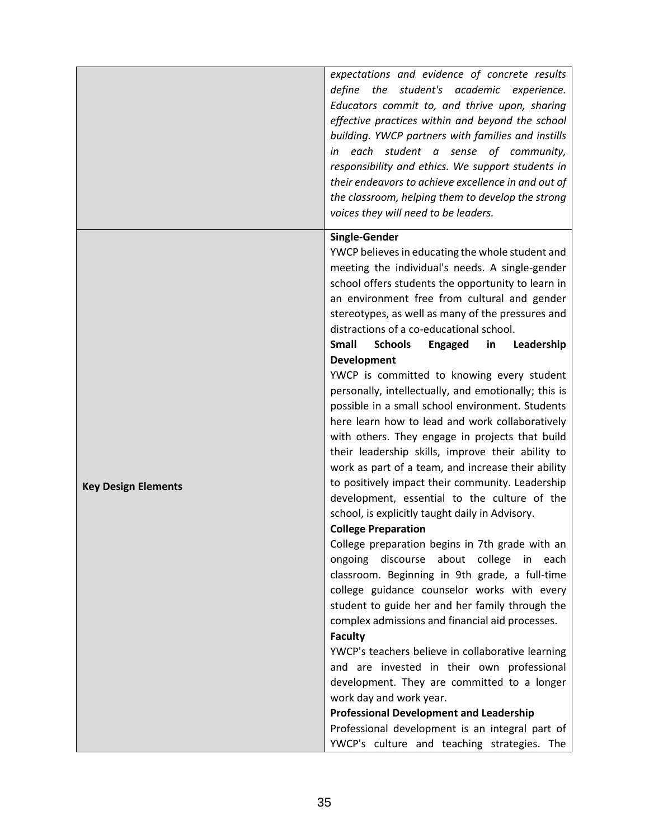|                            | expectations and evidence of concrete results<br>define the student's academic experience.<br>Educators commit to, and thrive upon, sharing<br>effective practices within and beyond the school<br>building. YWCP partners with families and instills<br>each student a sense of community,<br>in<br>responsibility and ethics. We support students in<br>their endeavors to achieve excellence in and out of<br>the classroom, helping them to develop the strong<br>voices they will need to be leaders.                                                                                                                                                                                                                                                                                                                                                                                                                                                                                                                                                                                                                                                                                                                                                                                                                                                                                                                                                                                                                                                                                                                          |
|----------------------------|-------------------------------------------------------------------------------------------------------------------------------------------------------------------------------------------------------------------------------------------------------------------------------------------------------------------------------------------------------------------------------------------------------------------------------------------------------------------------------------------------------------------------------------------------------------------------------------------------------------------------------------------------------------------------------------------------------------------------------------------------------------------------------------------------------------------------------------------------------------------------------------------------------------------------------------------------------------------------------------------------------------------------------------------------------------------------------------------------------------------------------------------------------------------------------------------------------------------------------------------------------------------------------------------------------------------------------------------------------------------------------------------------------------------------------------------------------------------------------------------------------------------------------------------------------------------------------------------------------------------------------------|
| <b>Key Design Elements</b> | Single-Gender<br>YWCP believes in educating the whole student and<br>meeting the individual's needs. A single-gender<br>school offers students the opportunity to learn in<br>an environment free from cultural and gender<br>stereotypes, as well as many of the pressures and<br>distractions of a co-educational school.<br><b>Schools</b><br><b>Small</b><br>Engaged<br>in<br>Leadership<br>Development<br>YWCP is committed to knowing every student<br>personally, intellectually, and emotionally; this is<br>possible in a small school environment. Students<br>here learn how to lead and work collaboratively<br>with others. They engage in projects that build<br>their leadership skills, improve their ability to<br>work as part of a team, and increase their ability<br>to positively impact their community. Leadership<br>development, essential to the culture of the<br>school, is explicitly taught daily in Advisory.<br><b>College Preparation</b><br>College preparation begins in 7th grade with an<br>ongoing discourse about college in each<br>classroom. Beginning in 9th grade, a full-time<br>college guidance counselor works with every<br>student to guide her and her family through the<br>complex admissions and financial aid processes.<br><b>Faculty</b><br>YWCP's teachers believe in collaborative learning<br>and are invested in their own professional<br>development. They are committed to a longer<br>work day and work year.<br><b>Professional Development and Leadership</b><br>Professional development is an integral part of<br>YWCP's culture and teaching strategies. The |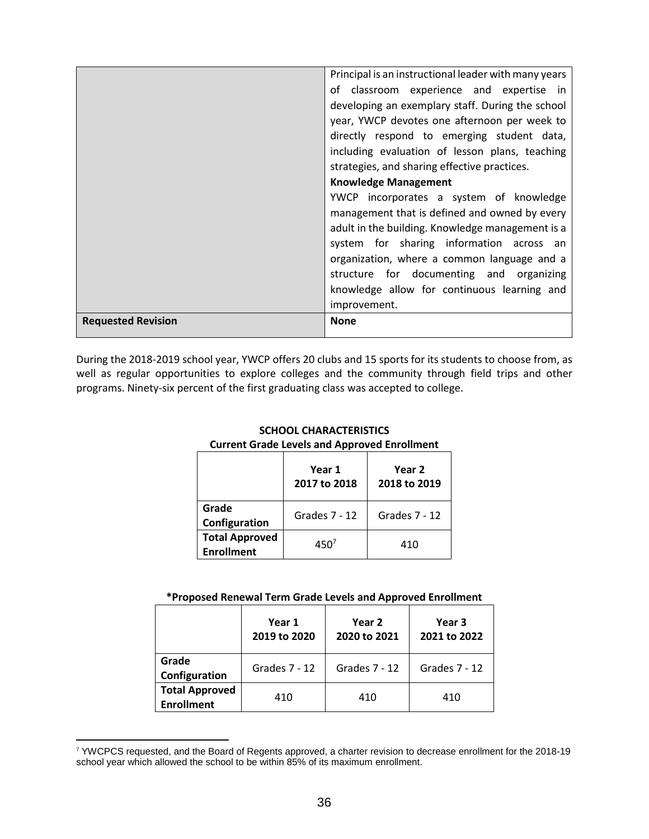|                           | Principal is an instructional leader with many years |
|---------------------------|------------------------------------------------------|
|                           | of classroom experience and expertise in             |
|                           | developing an exemplary staff. During the school     |
|                           | year, YWCP devotes one afternoon per week to         |
|                           | directly respond to emerging student data,           |
|                           | including evaluation of lesson plans, teaching       |
|                           | strategies, and sharing effective practices.         |
|                           | <b>Knowledge Management</b>                          |
|                           | YWCP incorporates a system of knowledge              |
|                           | management that is defined and owned by every        |
|                           | adult in the building. Knowledge management is a     |
|                           | system for sharing information across an             |
|                           | organization, where a common language and a          |
|                           | structure for documenting and organizing             |
|                           | knowledge allow for continuous learning and          |
|                           | improvement.                                         |
| <b>Requested Revision</b> | <b>None</b>                                          |
|                           |                                                      |

During the 2018-2019 school year, YWCP offers 20 clubs and 15 sports for its students to choose from, as well as regular opportunities to explore colleges and the community through field trips and other programs. Ninety-six percent of the first graduating class was accepted to college.

| Carlent Grade Levels and Approved Embinitent |                        |                        |  |  |  |  |  |  |
|----------------------------------------------|------------------------|------------------------|--|--|--|--|--|--|
|                                              | Year 1<br>2017 to 2018 | Year 2<br>2018 to 2019 |  |  |  |  |  |  |
| Grade<br>Configuration                       | Grades 7 - 12          | Grades 7 - 12          |  |  |  |  |  |  |
| <b>Total Approved</b><br><b>Enrollment</b>   | 450 <sup>7</sup>       | 410                    |  |  |  |  |  |  |

# **SCHOOL CHARACTERISTICS Current Grade Levels and Approved Enrollment**

#### **\*Proposed Renewal Term Grade Levels and Approved Enrollment**

|                                            | Year 1<br>2019 to 2020 | Year 2<br>2020 to 2021 | Year 3<br>2021 to 2022 |  |
|--------------------------------------------|------------------------|------------------------|------------------------|--|
| Grade<br>Configuration                     | Grades 7 - 12          | Grades 7 - 12          | Grades 7 - 12          |  |
| <b>Total Approved</b><br><b>Enrollment</b> | 410                    | 410                    | 410                    |  |

<sup>7</sup> YWCPCS requested, and the Board of Regents approved, a charter revision to decrease enrollment for the 2018-19 school year which allowed the school to be within 85% of its maximum enrollment.

 $\overline{a}$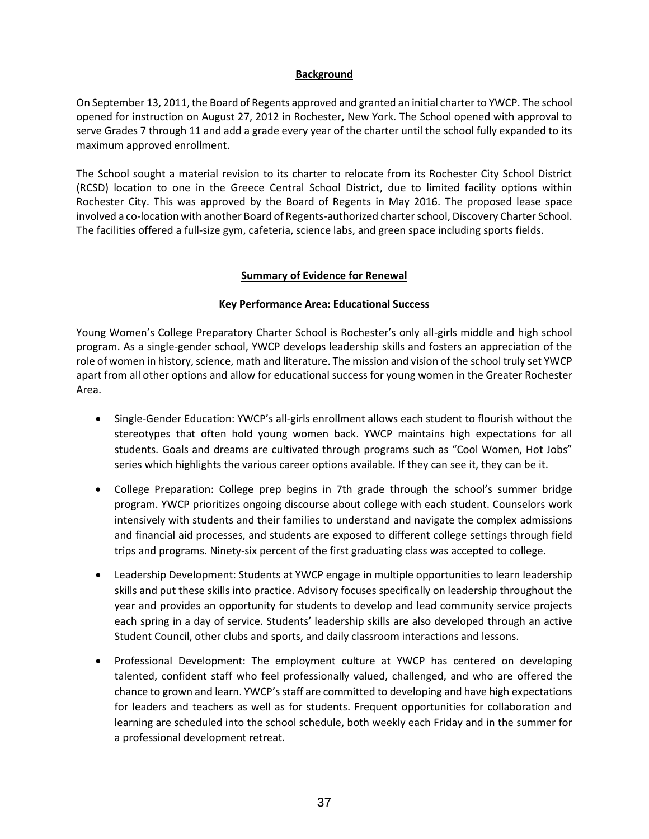## **Background**

On September 13, 2011, the Board of Regents approved and granted an initial charter to YWCP. The school opened for instruction on August 27, 2012 in Rochester, New York. The School opened with approval to serve Grades 7 through 11 and add a grade every year of the charter until the school fully expanded to its maximum approved enrollment.

The School sought a material revision to its charter to relocate from its Rochester City School District (RCSD) location to one in the Greece Central School District, due to limited facility options within Rochester City. This was approved by the Board of Regents in May 2016. The proposed lease space involved a co-location with another Board of Regents-authorized charter school, Discovery Charter School. The facilities offered a full-size gym, cafeteria, science labs, and green space including sports fields.

#### **Summary of Evidence for Renewal**

#### **Key Performance Area: Educational Success**

Young Women's College Preparatory Charter School is Rochester's only all-girls middle and high school program. As a single-gender school, YWCP develops leadership skills and fosters an appreciation of the role of women in history, science, math and literature. The mission and vision of the school truly set YWCP apart from all other options and allow for educational success for young women in the Greater Rochester Area.

- Single-Gender Education: YWCP's all-girls enrollment allows each student to flourish without the stereotypes that often hold young women back. YWCP maintains high expectations for all students. Goals and dreams are cultivated through programs such as "Cool Women, Hot Jobs" series which highlights the various career options available. If they can see it, they can be it.
- College Preparation: College prep begins in 7th grade through the school's summer bridge program. YWCP prioritizes ongoing discourse about college with each student. Counselors work intensively with students and their families to understand and navigate the complex admissions and financial aid processes, and students are exposed to different college settings through field trips and programs. Ninety-six percent of the first graduating class was accepted to college.
- Leadership Development: Students at YWCP engage in multiple opportunities to learn leadership skills and put these skills into practice. Advisory focuses specifically on leadership throughout the year and provides an opportunity for students to develop and lead community service projects each spring in a day of service. Students' leadership skills are also developed through an active Student Council, other clubs and sports, and daily classroom interactions and lessons.
- Professional Development: The employment culture at YWCP has centered on developing talented, confident staff who feel professionally valued, challenged, and who are offered the chance to grown and learn. YWCP's staff are committed to developing and have high expectations for leaders and teachers as well as for students. Frequent opportunities for collaboration and learning are scheduled into the school schedule, both weekly each Friday and in the summer for a professional development retreat.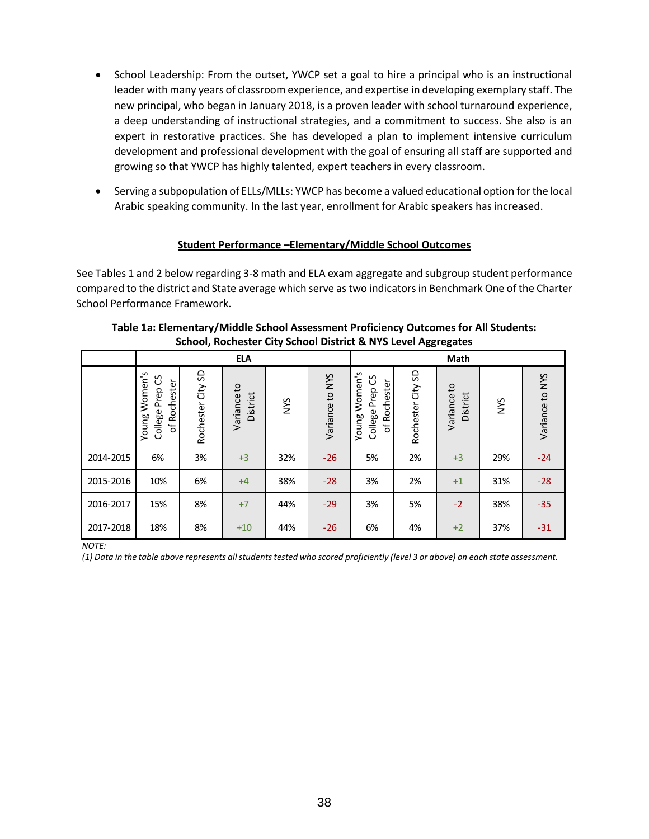- School Leadership: From the outset, YWCP set a goal to hire a principal who is an instructional leader with many years of classroom experience, and expertise in developing exemplary staff. The new principal, who began in January 2018, is a proven leader with school turnaround experience, a deep understanding of instructional strategies, and a commitment to success. She also is an expert in restorative practices. She has developed a plan to implement intensive curriculum development and professional development with the goal of ensuring all staff are supported and growing so that YWCP has highly talented, expert teachers in every classroom.
- Serving a subpopulation of ELLs/MLLs: YWCP has become a valued educational option for the local Arabic speaking community. In the last year, enrollment for Arabic speakers has increased.

# **Student Performance –Elementary/Middle School Outcomes**

See Tables 1 and 2 below regarding 3-8 math and ELA exam aggregate and subgroup student performance compared to the district and State average which serve as two indicators in Benchmark One of the Charter School Performance Framework.

|           | <b>ELA</b>                                             |                      |                         |            |                 | Math                                                |                        |                         |     |                 |
|-----------|--------------------------------------------------------|----------------------|-------------------------|------------|-----------------|-----------------------------------------------------|------------------------|-------------------------|-----|-----------------|
|           | Women's<br>ပိ<br>of Rochester<br>College Prep<br>Young | SD<br>Rochester City | Variance to<br>District | <b>NYS</b> | Variance to NYS | Women's<br>College Prep CS<br>of Rochester<br>Young | S<br>City<br>Rochester | Variance to<br>District | XN  | Variance to NYS |
| 2014-2015 | 6%                                                     | 3%                   | $+3$                    | 32%        | $-26$           | 5%                                                  | 2%                     | $+3$                    | 29% | $-24$           |
| 2015-2016 | 10%                                                    | 6%                   | $+4$                    | 38%        | $-28$           | 3%                                                  | 2%                     | $+1$                    | 31% | $-28$           |
| 2016-2017 | 15%                                                    | 8%                   | $+7$                    | 44%        | $-29$           | 3%                                                  | 5%                     | $-2$                    | 38% | $-35$           |
| 2017-2018 | 18%                                                    | 8%                   | $+10$                   | 44%        | $-26$           | 6%                                                  | 4%                     | $+2$                    | 37% | $-31$           |

**Table 1a: Elementary/Middle School Assessment Proficiency Outcomes for All Students: School, Rochester City School District & NYS Level Aggregates**

*NOTE:*

*(1) Data in the table above represents all students tested who scored proficiently (level 3 or above) on each state assessment.*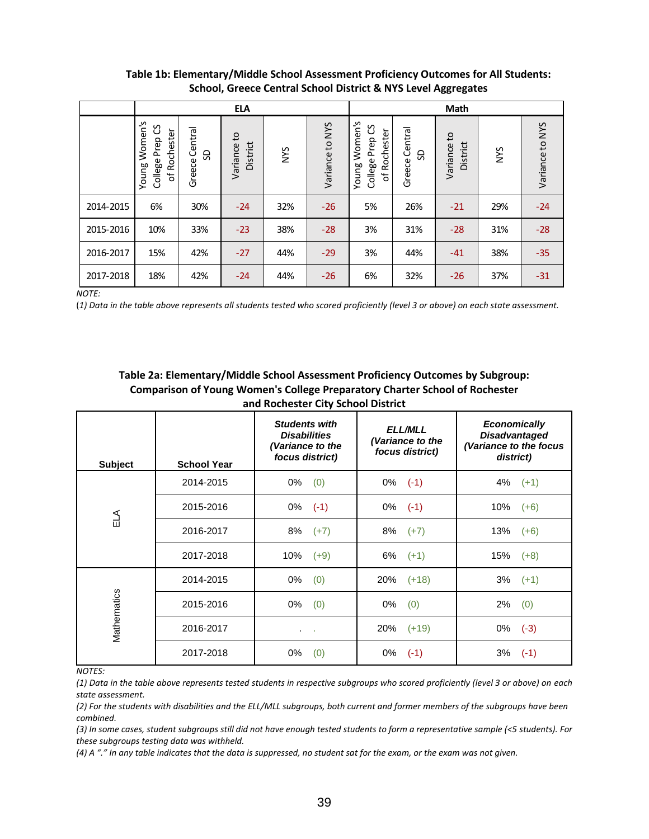|           | <b>ELA</b>                                             |                     |                         |            |                 | Math                                                |                      |                         |            |                 |
|-----------|--------------------------------------------------------|---------------------|-------------------------|------------|-----------------|-----------------------------------------------------|----------------------|-------------------------|------------|-----------------|
|           | Women's<br>ပိ<br>of Rochester<br>College Prep<br>Young | Greece Central<br>S | Variance to<br>District | <b>NYS</b> | Variance to NYS | Women's<br>College Prep CS<br>of Rochester<br>Young | Greece Central<br>9S | Variance to<br>District | <b>NNS</b> | Variance to NYS |
| 2014-2015 | 6%                                                     | 30%                 | $-24$                   | 32%        | $-26$           | 5%                                                  | 26%                  | $-21$                   | 29%        | $-24$           |
| 2015-2016 | 10%                                                    | 33%                 | $-23$                   | 38%        | $-28$           | 3%                                                  | 31%                  | $-28$                   | 31%        | $-28$           |
| 2016-2017 | 15%                                                    | 42%                 | $-27$                   | 44%        | $-29$           | 3%                                                  | 44%                  | $-41$                   | 38%        | $-35$           |
| 2017-2018 | 18%                                                    | 42%                 | $-24$                   | 44%        | $-26$           | 6%                                                  | 32%                  | $-26$                   | 37%        | $-31$           |

# **Table 1b: Elementary/Middle School Assessment Proficiency Outcomes for All Students: School, Greece Central School District & NYS Level Aggregates**

*NOTE:*

(*1) Data in the table above represents all students tested who scored proficiently (level 3 or above) on each state assessment.*

# **Table 2a: Elementary/Middle School Assessment Proficiency Outcomes by Subgroup: Comparison of Young Women's College Preparatory Charter School of Rochester and Rochester City School District**

| <b>Subject</b> | <b>School Year</b> | <b>Students with</b><br><b>Disabilities</b><br>(Variance to the<br>focus district) | <b>ELL/MLL</b><br>(Variance to the<br>focus district) | <b>Economically</b><br><b>Disadvantaged</b><br>(Variance to the focus<br>district) |
|----------------|--------------------|------------------------------------------------------------------------------------|-------------------------------------------------------|------------------------------------------------------------------------------------|
|                | 2014-2015          | 0%<br>(0)                                                                          | $0\%$ (-1)                                            | 4%<br>$(+1)$                                                                       |
| ELA            | 2015-2016          | 0%<br>$(-1)$                                                                       | $0\%$ (-1)                                            | 10%<br>$(+6)$                                                                      |
|                | 2016-2017          | 8%<br>$(+7)$                                                                       | 8%<br>$(+7)$                                          | 13%<br>$(+6)$                                                                      |
|                | 2017-2018          | 10%<br>$(+9)$                                                                      | 6%<br>$(+1)$                                          | 15%<br>$(+8)$                                                                      |
|                | 2014-2015          | 0%<br>(0)                                                                          | 20%<br>$(+18)$                                        | 3%<br>$(+1)$                                                                       |
|                | 2015-2016          | 0%<br>(0)                                                                          | 0%<br>(0)                                             | 2%<br>(0)                                                                          |
| Mathematics    | 2016-2017          | $\sim$<br>$\cdot$                                                                  | 20%<br>$(+19)$                                        | $(-3)$<br>0%                                                                       |
|                | 2017-2018          | 0%<br>(0)                                                                          | 0%<br>$(-1)$                                          | 3%<br>$(-1)$                                                                       |

*NOTES:*

*(1) Data in the table above represents tested students in respective subgroups who scored proficiently (level 3 or above) on each state assessment.*

(2) For the students with disabilities and the ELL/MLL subgroups, both current and former members of the subgroups have been *combined.*

*(3) In some cases, student subgroups still did not have enough tested students to form a representative sample (<5 students). For these subgroups testing data was withheld.*

*(4) A "." In any table indicates that the data is suppressed, no student sat for the exam, or the exam was not given.*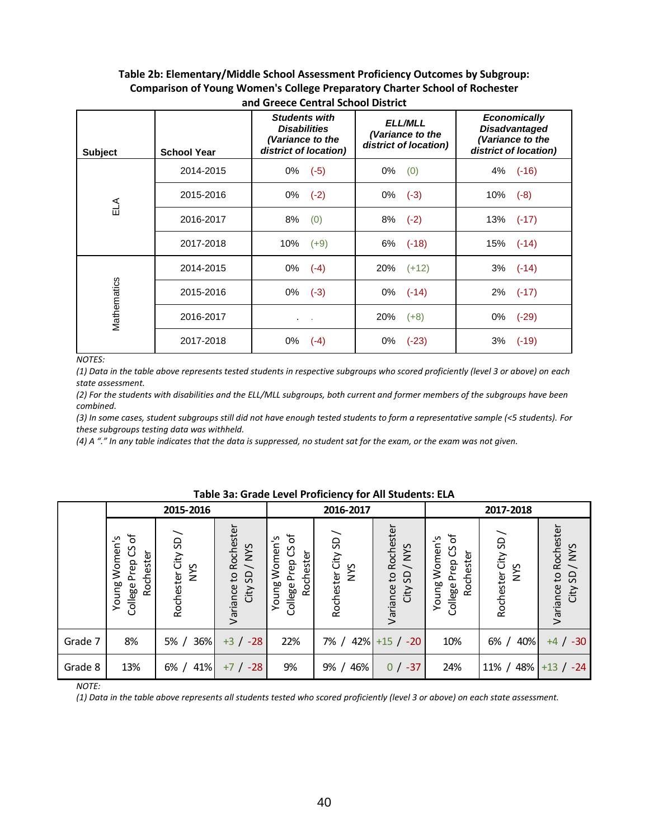#### **Table 2b: Elementary/Middle School Assessment Proficiency Outcomes by Subgroup: Comparison of Young Women's College Preparatory Charter School of Rochester and Greece Central School District**

| <b>Subject</b> | <b>School Year</b> | <b>Students with</b><br><b>Disabilities</b><br>(Variance to the<br>district of location) | <b>ELL/MLL</b><br>(Variance to the<br>district of location) | <b>Economically</b><br><b>Disadvantaged</b><br>(Variance to the<br>district of location) |  |
|----------------|--------------------|------------------------------------------------------------------------------------------|-------------------------------------------------------------|------------------------------------------------------------------------------------------|--|
|                | 2014-2015          | 0%<br>$(-5)$                                                                             | 0%<br>(0)                                                   | 4% (-16)                                                                                 |  |
| ELA            | 2015-2016          | 0%<br>$(-2)$                                                                             | 0%<br>$(-3)$                                                | 10%<br>$(-8)$                                                                            |  |
|                | 2016-2017          | (0)<br>8%                                                                                | 8%<br>$(-2)$                                                | 13%<br>$(-17)$                                                                           |  |
|                | 2017-2018          | 10%<br>$(+9)$                                                                            | $6\%$ $(-18)$                                               | 15% (-14)                                                                                |  |
|                | 2014-2015          | 0%<br>$(-4)$                                                                             | $20\%$ $(+12)$                                              | $3\%$ (-14)                                                                              |  |
|                | 2015-2016          | $(-3)$<br>0%                                                                             | 0%<br>$(-14)$                                               | 2%<br>$(-17)$                                                                            |  |
| Mathematics    | 2016-2017          | $\sim$ 100 $\mu$                                                                         | 20%<br>$(+8)$                                               | 0%<br>$(-29)$                                                                            |  |
|                | 2017-2018          | $0\%$<br>$(-4)$                                                                          | 0%<br>$(-23)$                                               | 3%<br>$(-19)$                                                                            |  |

#### *NOTES:*

*(1) Data in the table above represents tested students in respective subgroups who scored proficiently (level 3 or above) on each state assessment.*

(2) For the students with disabilities and the ELL/MLL subgroups, both current and former members of the subgroups have been *combined.*

*(3) In some cases, student subgroups still did not have enough tested students to form a representative sample (<5 students). For these subgroups testing data was withheld.*

*(4) A "." In any table indicates that the data is suppressed, no student sat for the exam, or the exam was not given.*

|         |                                                          | 2015-2016                 |                                                           |                                                         | 2016-2017                        |                                         | 2017-2018                                          |                                  |                                          |
|---------|----------------------------------------------------------|---------------------------|-----------------------------------------------------------|---------------------------------------------------------|----------------------------------|-----------------------------------------|----------------------------------------------------|----------------------------------|------------------------------------------|
|         | ৳<br>Women's<br>රි<br>Rochester<br>College Prep<br>Young | Rochester City SD/<br>NYS | Variance to Rochester<br>/ NYS<br>SD <sub>.</sub><br>City | ð<br>Women's<br>უ<br>Rochester<br>College Prep<br>Young | Rochester City SD/<br><b>SAN</b> | Variance to Rochester<br>SD/NYS<br>City | ъ<br>Young Women's<br>College Prep CS<br>Rochester | Rochester City SD/<br><b>SAN</b> | Variance to Rochester<br>/NYS<br>City SD |
| Grade 7 | 8%                                                       | 36%<br>5%                 | $+3$ / $-28$                                              | 22%                                                     | 42%<br>7% /                      | $+15$ / $-20$                           | 10%                                                | 40%<br>6% /                      | $+4$ / $-30$                             |
| Grade 8 | 13%                                                      | 41%<br>6%                 | $-28$<br>$+7/$                                            | 9%                                                      | 46%<br>9% /                      | $0/ -37$                                | 24%                                                | 48%<br>$11\%$ /                  | $+13$ / $-24$                            |

## **Table 3a: Grade Level Proficiency for All Students: ELA**

*NOTE:*

*(1) Data in the table above represents all students tested who scored proficiently (level 3 or above) on each state assessment.*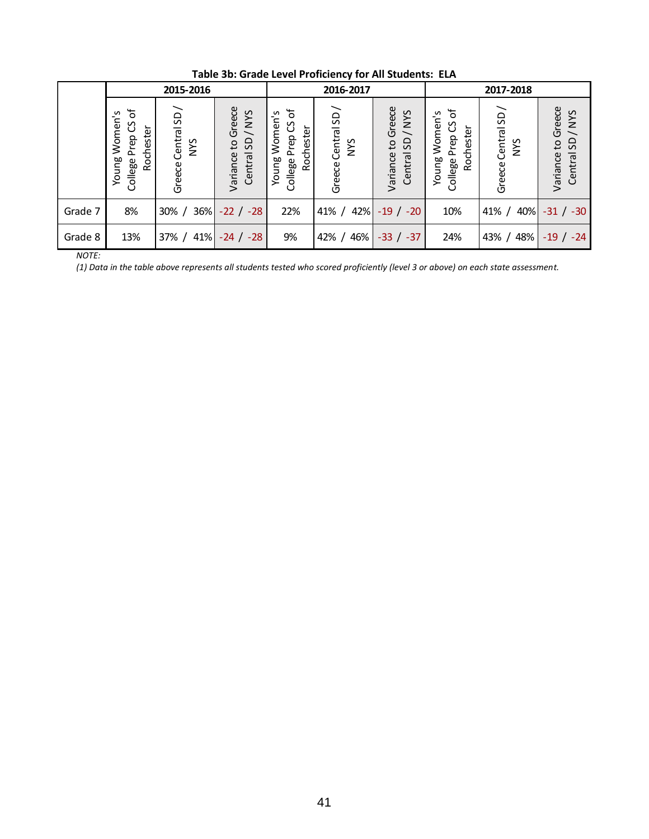|         | 2015-2016                                                |                                     |                                           | 2016-2017                                                    |                                     |                                             | 2017-2018                                             |                                 |                                        |
|---------|----------------------------------------------------------|-------------------------------------|-------------------------------------------|--------------------------------------------------------------|-------------------------------------|---------------------------------------------|-------------------------------------------------------|---------------------------------|----------------------------------------|
|         | ৳<br>Women's<br>ပိ<br>Rochester<br>College Prep<br>Young | Central SD/<br><b>NYS</b><br>Greece | Greece<br>Central SD / NYS<br>Variance to | ৳<br>Women's<br>უ<br>ე<br>Rochester<br>College Prep<br>Young | Central SD/<br><b>SAN</b><br>Greece | Greece<br>/NYS<br>Central SD<br>Variance to | ৳<br>Women's<br>College Prep CS<br>Rochester<br>Young | Greece Central SD<br><b>NYS</b> | Variance to Greece<br>Central SD / NYS |
| Grade 7 | 8%                                                       | $36\%$<br>$30\% /$                  | $-22$ / $-28$                             | 22%                                                          | 42%<br>$41\% /$                     | $-19$ / $-20$                               | 10%                                                   | 40%<br>$41\%$ /                 | $-31 / -30$                            |
| Grade 8 | 13%                                                      | 41%<br>$37\%$ /                     | $-24$ / $-28$                             | 9%                                                           | 46%<br>42% /                        | $-33 / -37$                                 | 24%                                                   | 48%<br>43% /                    | $-19$ / $-24$                          |

**Table 3b: Grade Level Proficiency for All Students: ELA**

*NOTE:*

*(1) Data in the table above represents all students tested who scored proficiently (level 3 or above) on each state assessment.*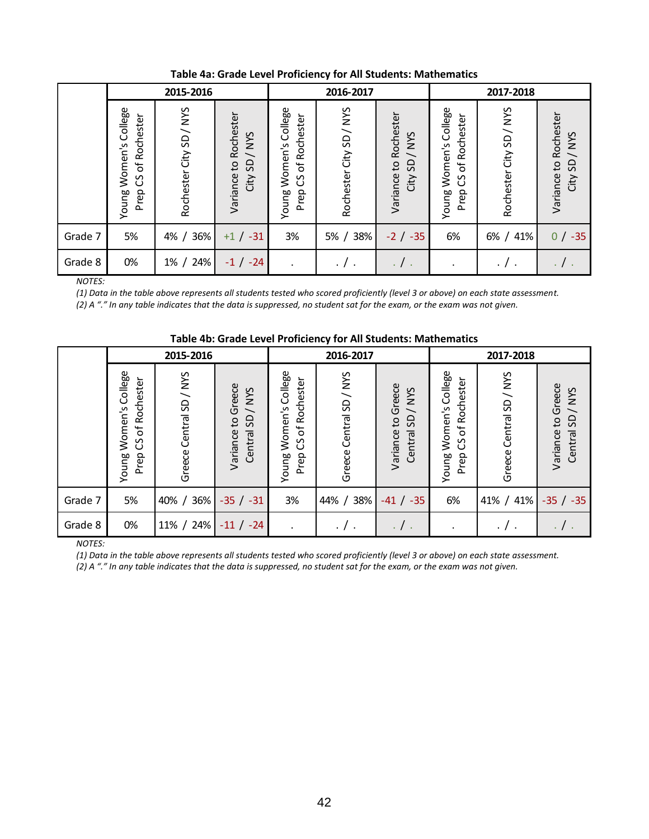|               |                                                       | 2015-2016               |                                                         |                                                       | 2016-2017               |                                         |                                                                                 | 2017-2018               |                                                            |  |  |
|---------------|-------------------------------------------------------|-------------------------|---------------------------------------------------------|-------------------------------------------------------|-------------------------|-----------------------------------------|---------------------------------------------------------------------------------|-------------------------|------------------------------------------------------------|--|--|
|               | Women's College<br>of Rochester<br>უ<br>Prep<br>Young | Rochester City SD / NYS | Rochester<br>SD/NYS<br>$\mathbf{c}$<br>Variance<br>City | Women's College<br>of Rochester<br>უ<br>Young<br>Prep | Rochester City SD / NYS | Variance to Rochester<br>SD/NYS<br>City | Women's College<br>Rochester<br>$\mathsf{b}^{\mathsf{t}}$<br>უ<br>Young<br>Prep | Rochester City SD / NYS | Variance to Rochester<br><b>SAN</b><br>$\sqrt{dS}$<br>City |  |  |
| Grade 7       | 5%                                                    | 36%<br>$4\% /$          | $-31$<br>$+1/$                                          | 3%                                                    | 38%<br>5%               | $-2$ / $-35$                            | 6%                                                                              | 41%<br>$6\%$ /          | $-35$<br>0/                                                |  |  |
| Grade 8       | 0%                                                    | 24%<br>$1\%$ /          | $-1 / -24$                                              |                                                       | $\cdot$ / $\cdot$       | $\cdot$ / $\cdot$                       |                                                                                 |                         |                                                            |  |  |
| <b>NOTES:</b> |                                                       |                         |                                                         |                                                       |                         |                                         |                                                                                 |                         |                                                            |  |  |

**Table 4a: Grade Level Proficiency for All Students: Mathematics**

*(1) Data in the table above represents all students tested who scored proficiently (level 3 or above) on each state assessment.*

*(2) A "." In any table indicates that the data is suppressed, no student sat for the exam, or the exam was not given.*

|         | Table 4D. Grade Lever Pronciency for All Students. Mathematics |                         |                                          |                                                                      |                         |                                          |                                                                |                         |                                        |  |
|---------|----------------------------------------------------------------|-------------------------|------------------------------------------|----------------------------------------------------------------------|-------------------------|------------------------------------------|----------------------------------------------------------------|-------------------------|----------------------------------------|--|
|         |                                                                | 2015-2016               |                                          |                                                                      | 2016-2017               |                                          |                                                                | 2017-2018               |                                        |  |
|         | Women's College<br>Rochester<br>$CS$ of<br>Prep<br>Young       | Greece Central SD / NYS | Variance to Greece<br>/NYS<br>Central SD | Women's College<br>Rochester<br>$\mathfrak{b}$<br>უ<br>Prep<br>Young | Greece Central SD / NYS | Greece<br>Central SD / NYS<br>Varianceto | Women's College<br>Rochester<br>$\sigma$<br>უ<br>Young<br>Prep | Greece Central SD / NYS | Variance to Greece<br>Central SD / NYS |  |
| Grade 7 | 5%                                                             | 36%<br>$40\% /$         | $-35 / -31$                              | 3%                                                                   | 38%<br>$44\% /$         | $-41 / -35$                              | 6%                                                             | 41% / 41%               | $-35 / -35$                            |  |
| Grade 8 | 0%                                                             | 11% / 24%               | $-11 / -24$                              |                                                                      | . / .                   | $\cdot$ / $\cdot$                        | $\bullet$                                                      |                         |                                        |  |

# **Table 4b: Grade Level Proficiency for All Students: Mathematics**

*NOTES:*

*(1) Data in the table above represents all students tested who scored proficiently (level 3 or above) on each state assessment.*

*(2) A "." In any table indicates that the data is suppressed, no student sat for the exam, or the exam was not given.*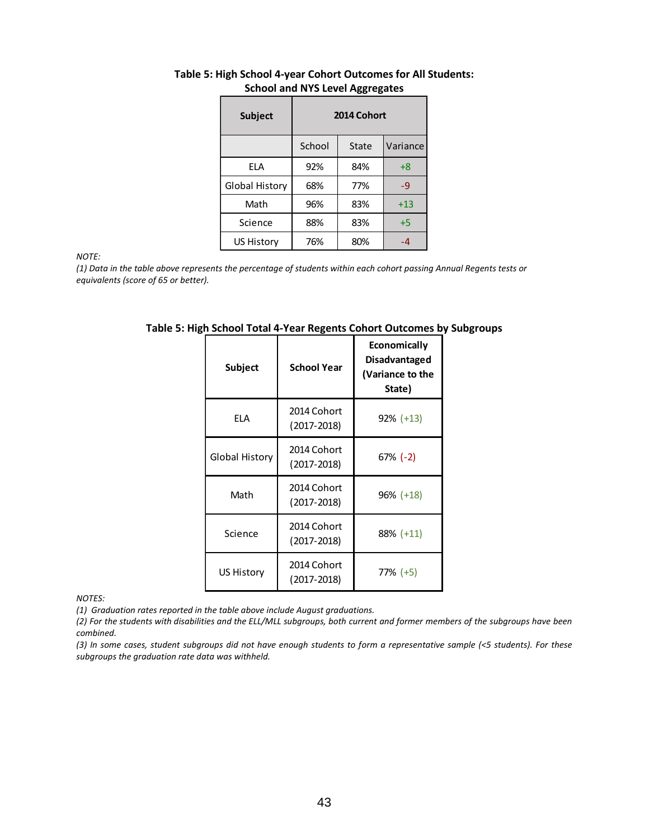| <b>Subject</b>    | 2014 Cohort |       |          |  |  |  |  |
|-------------------|-------------|-------|----------|--|--|--|--|
|                   | School      | State | Variance |  |  |  |  |
| <b>ELA</b>        | 92%         | 84%   | $+8$     |  |  |  |  |
| Global History    | 68%         | 77%   | $-9$     |  |  |  |  |
| Math              | 96%         | 83%   | $+13$    |  |  |  |  |
| Science           | 88%         | 83%   | $+5$     |  |  |  |  |
| <b>US History</b> | 76%         | 80%   | -4       |  |  |  |  |

### **Table 5: High School 4-year Cohort Outcomes for All Students: School and NYS Level Aggregates**

*NOTE:*

*(1) Data in the table above represents the percentage of students within each cohort passing Annual Regents tests or equivalents (score of 65 or better).*

| Subject                                             | <b>School Year</b>             | Economically<br><b>Disadvantaged</b><br>(Variance to the<br>State) |
|-----------------------------------------------------|--------------------------------|--------------------------------------------------------------------|
| <b>ELA</b>                                          | 2014 Cohort<br>$(2017 - 2018)$ | $92\% (+13)$                                                       |
| Global History                                      | 2014 Cohort<br>$(2017 - 2018)$ | $67\%$ (-2)                                                        |
| Math                                                | 2014 Cohort<br>$(2017 - 2018)$ | $96\%$ (+18)                                                       |
| Science                                             | 2014 Cohort<br>$(2017 - 2018)$ | $88\%$ (+11)                                                       |
| 2014 Cohort<br><b>US History</b><br>$(2017 - 2018)$ |                                | $77\% (+5)$                                                        |

**Table 5: High School Total 4-Year Regents Cohort Outcomes by Subgroups**

*NOTES:*

*(1) Graduation rates reported in the table above include August graduations.*

*(2) For the students with disabilities and the ELL/MLL subgroups, both current and former members of the subgroups have been combined.*

*(3) In some cases, student subgroups did not have enough students to form a representative sample (<5 students). For these subgroups the graduation rate data was withheld.*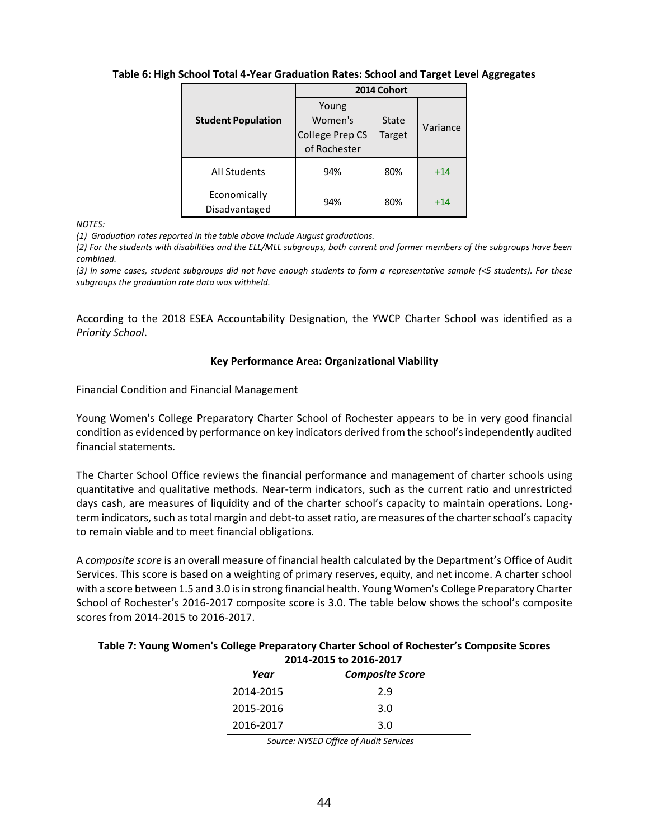## **Table 6: High School Total 4-Year Graduation Rates: School and Target Level Aggregates**

|                               | 2014 Cohort     |        |          |  |  |
|-------------------------------|-----------------|--------|----------|--|--|
|                               | Young           |        |          |  |  |
| <b>Student Population</b>     | Women's         | State  | Variance |  |  |
|                               | College Prep CS | Target |          |  |  |
|                               | of Rochester    |        |          |  |  |
| All Students                  | 94%             | 80%    | $+14$    |  |  |
| Economically<br>Disadvantaged | 94%             | 80%    | $+14$    |  |  |

*NOTES:*

*(1) Graduation rates reported in the table above include August graduations.*

*(2) For the students with disabilities and the ELL/MLL subgroups, both current and former members of the subgroups have been combined.*

*(3) In some cases, student subgroups did not have enough students to form a representative sample (<5 students). For these subgroups the graduation rate data was withheld.*

According to the 2018 ESEA Accountability Designation, the YWCP Charter School was identified as a *Priority School*.

#### **Key Performance Area: Organizational Viability**

Financial Condition and Financial Management

Young Women's College Preparatory Charter School of Rochester appears to be in very good financial condition as evidenced by performance on key indicators derived from the school's independently audited financial statements.

The Charter School Office reviews the financial performance and management of charter schools using quantitative and qualitative methods. Near‐term indicators, such as the current ratio and unrestricted days cash, are measures of liquidity and of the charter school's capacity to maintain operations. Long‐ term indicators, such as total margin and debt-to asset ratio, are measures of the charter school's capacity to remain viable and to meet financial obligations.

A *composite score* is an overall measure of financial health calculated by the Department's Office of Audit Services. This score is based on a weighting of primary reserves, equity, and net income. A charter school with a score between 1.5 and 3.0 is in strong financial health. Young Women's College Preparatory Charter School of Rochester's 2016-2017 composite score is 3.0. The table below shows the school's composite scores from 2014-2015 to 2016-2017.

## **Table 7: Young Women's College Preparatory Charter School of Rochester's Composite Scores 2014-2015 to 2016-2017**

| Year      | <b>Composite Score</b> |
|-----------|------------------------|
| 2014-2015 | 2.9                    |
| 2015-2016 | 3.0                    |
| 2016-2017 | 3.0                    |

*Source: NYSED Office of Audit Services*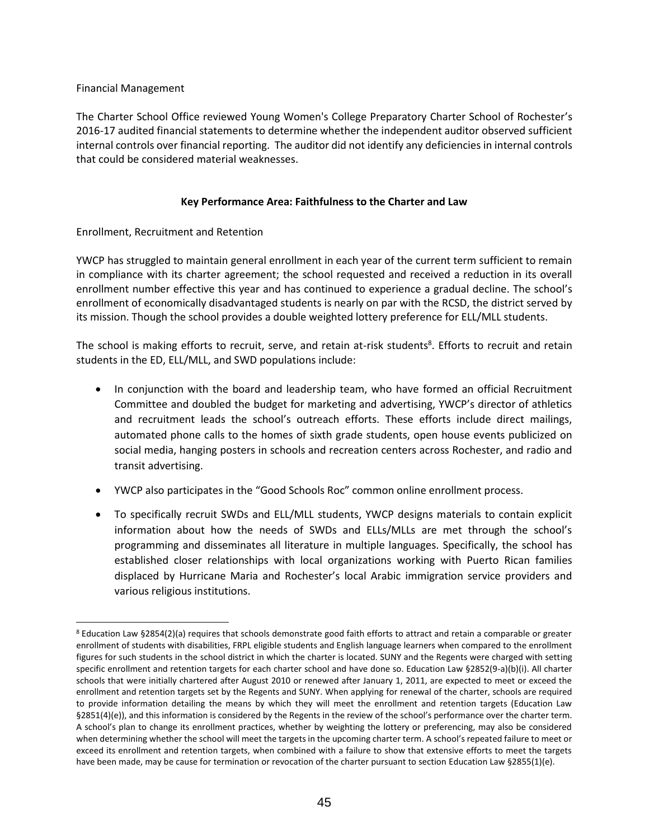## Financial Management

 $\overline{a}$ 

The Charter School Office reviewed Young Women's College Preparatory Charter School of Rochester's 2016-17 audited financial statements to determine whether the independent auditor observed sufficient internal controls over financial reporting. The auditor did not identify any deficiencies in internal controls that could be considered material weaknesses.

## **Key Performance Area: Faithfulness to the Charter and Law**

## Enrollment, Recruitment and Retention

YWCP has struggled to maintain general enrollment in each year of the current term sufficient to remain in compliance with its charter agreement; the school requested and received a reduction in its overall enrollment number effective this year and has continued to experience a gradual decline. The school's enrollment of economically disadvantaged students is nearly on par with the RCSD, the district served by its mission. Though the school provides a double weighted lottery preference for ELL/MLL students.

The school is making efforts to recruit, serve, and retain at-risk students<sup>8</sup>. Efforts to recruit and retain students in the ED, ELL/MLL, and SWD populations include:

- In conjunction with the board and leadership team, who have formed an official Recruitment Committee and doubled the budget for marketing and advertising, YWCP's director of athletics and recruitment leads the school's outreach efforts. These efforts include direct mailings, automated phone calls to the homes of sixth grade students, open house events publicized on social media, hanging posters in schools and recreation centers across Rochester, and radio and transit advertising.
- YWCP also participates in the "Good Schools Roc" common online enrollment process.
- To specifically recruit SWDs and ELL/MLL students, YWCP designs materials to contain explicit information about how the needs of SWDs and ELLs/MLLs are met through the school's programming and disseminates all literature in multiple languages. Specifically, the school has established closer relationships with local organizations working with Puerto Rican families displaced by Hurricane Maria and Rochester's local Arabic immigration service providers and various religious institutions.

<sup>8</sup> Education Law §2854(2)(a) requires that schools demonstrate good faith efforts to attract and retain a comparable or greater enrollment of students with disabilities, FRPL eligible students and English language learners when compared to the enrollment figures for such students in the school district in which the charter is located. SUNY and the Regents were charged with setting specific enrollment and retention targets for each charter school and have done so. Education Law §2852(9-a)(b)(i). All charter schools that were initially chartered after August 2010 or renewed after January 1, 2011, are expected to meet or exceed the enrollment and retention targets set by the Regents and SUNY. When applying for renewal of the charter, schools are required to provide information detailing the means by which they will meet the enrollment and retention targets (Education Law §2851(4)(e)), and this information is considered by the Regents in the review of the school's performance over the charter term. A school's plan to change its enrollment practices, whether by weighting the lottery or preferencing, may also be considered when determining whether the school will meet the targets in the upcoming charter term. A school's repeated failure to meet or exceed its enrollment and retention targets, when combined with a failure to show that extensive efforts to meet the targets have been made, may be cause for termination or revocation of the charter pursuant to section Education Law §2855(1)(e).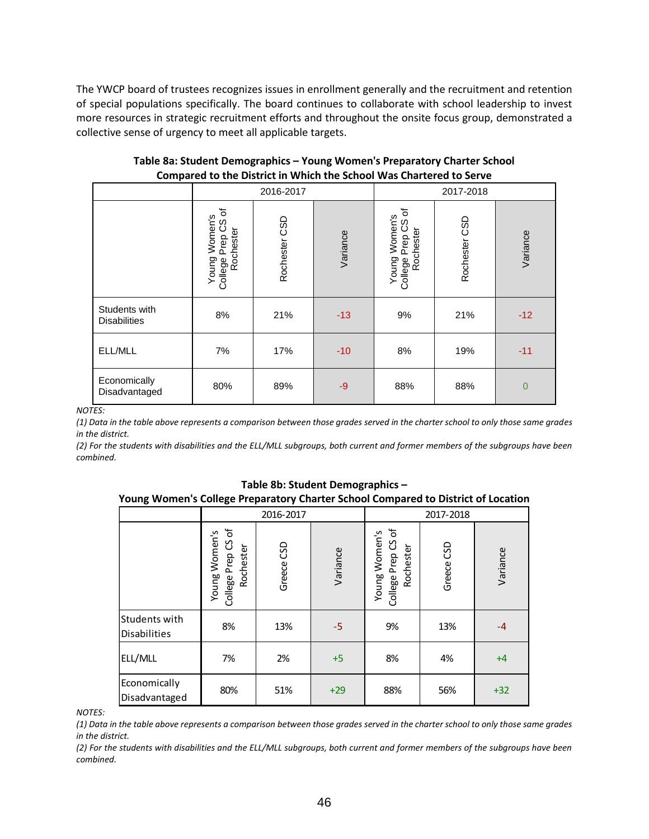The YWCP board of trustees recognizes issues in enrollment generally and the recruitment and retention of special populations specifically. The board continues to collaborate with school leadership to invest more resources in strategic recruitment efforts and throughout the onsite focus group, demonstrated a collective sense of urgency to meet all applicable targets.

|                                      | 2016-2017                                                     |               |          | 2017-2018                                                          |               |                |
|--------------------------------------|---------------------------------------------------------------|---------------|----------|--------------------------------------------------------------------|---------------|----------------|
|                                      | đ<br>Young Women's<br>Prep CS<br>College Prep US<br>Rochester | Rochester CSD | Variance | đ<br>Young Women's<br><u>င</u> ့<br>Rochester<br>Prep<br>College I | Rochester CSD | Variance       |
| Students with<br><b>Disabilities</b> | 8%                                                            | 21%           | $-13$    | 9%                                                                 | 21%           | $-12$          |
| ELL/MLL                              | 7%                                                            | 17%           | $-10$    | 8%                                                                 | 19%           | $-11$          |
| Economically<br>Disadvantaged        | 80%                                                           | 89%           | $-9$     | 88%                                                                | 88%           | $\overline{0}$ |

**Table 8a: Student Demographics – Young Women's Preparatory Charter School Compared to the District in Which the School Was Chartered to Serve**

*NOTES:*

*(1) Data in the table above represents a comparison between those grades served in the charter school to only those same grades in the district.*

*(2) For the students with disabilities and the ELL/MLL subgroups, both current and former members of the subgroups have been combined.*

| Young Women's College Preparatory Charter School Compared to District of Location |                                                  |            |          |                                                  |            |          |
|-----------------------------------------------------------------------------------|--------------------------------------------------|------------|----------|--------------------------------------------------|------------|----------|
|                                                                                   | 2016-2017                                        |            |          | 2017-2018                                        |            |          |
|                                                                                   | College Prep CS of<br>Young Women's<br>Rochester | Greece CSD | Variance | College Prep CS of<br>Young Women's<br>Rochester | Greece CSD | Variance |
| Students with<br><b>Disabilities</b>                                              | 8%                                               | 13%        | $-5$     | 9%                                               | 13%        | $-4$     |
| ELL/MLL                                                                           | 7%                                               | 2%         | $+5$     | 8%                                               | 4%         | $+4$     |
| Economically<br>Disadvantaged                                                     | 80%                                              | 51%        | $+29$    | 88%                                              | 56%        | $+32$    |

**Table 8b: Student Demographics –**

*NOTES:*

*(1) Data in the table above represents a comparison between those grades served in the charter school to only those same grades in the district.*

*(2) For the students with disabilities and the ELL/MLL subgroups, both current and former members of the subgroups have been combined.*